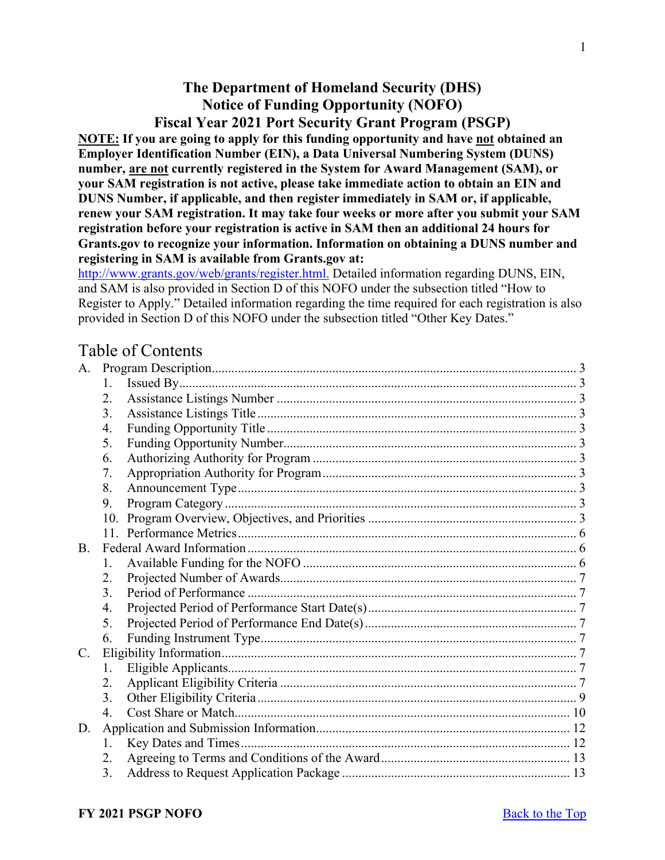# **The Department of Homeland Security (DHS) Notice of Funding Opportunity (NOFO) Fiscal Year 2021 Port Security Grant Program (PSGP)**

<span id="page-0-0"></span>**NOTE: If you are going to apply for this funding opportunity and have not obtained an Employer Identification Number (EIN), a Data Universal Numbering System (DUNS) number, are not currently registered in the System for Award Management (SAM), or your SAM registration is not active, please take immediate action to obtain an EIN and DUNS Number, if applicable, and then register immediately in SAM or, if applicable, renew your SAM registration. It may take four weeks or more after you submit your SAM registration before your registration is active in SAM then an additional 24 hours for Grants.gov to recognize your information. Information on obtaining a DUNS number and registering in SAM is available from Grants.gov at:**

[http://www.grants.gov/web/grants/register.html.](http://www.grants.gov/web/grants/register.html) Detailed information regarding DUNS, EIN, and SAM is also provided in Section D of this NOFO under the subsection titled "How to Register to Apply." Detailed information regarding the time required for each registration is also provided in Section D of this NOFO under the subsection titled "Other Key Dates."

# Table of Contents

| A.          |     |  |  |
|-------------|-----|--|--|
|             | 1.  |  |  |
|             | 2.  |  |  |
|             | 3.  |  |  |
|             | 4.  |  |  |
|             | 5.  |  |  |
|             | 6.  |  |  |
|             | 7.  |  |  |
|             | 8.  |  |  |
|             | 9.  |  |  |
|             | 10. |  |  |
|             | 11. |  |  |
| <b>B.</b>   |     |  |  |
|             | 1.  |  |  |
|             | 2.  |  |  |
|             | 3.  |  |  |
|             | 4.  |  |  |
|             | 5.  |  |  |
|             | 6.  |  |  |
| $C_{\cdot}$ |     |  |  |
|             | 1.  |  |  |
|             | 2.  |  |  |
|             | 3.  |  |  |
|             | 4.  |  |  |
| D.          |     |  |  |
|             | 1.  |  |  |
|             | 2.  |  |  |
|             | 3.  |  |  |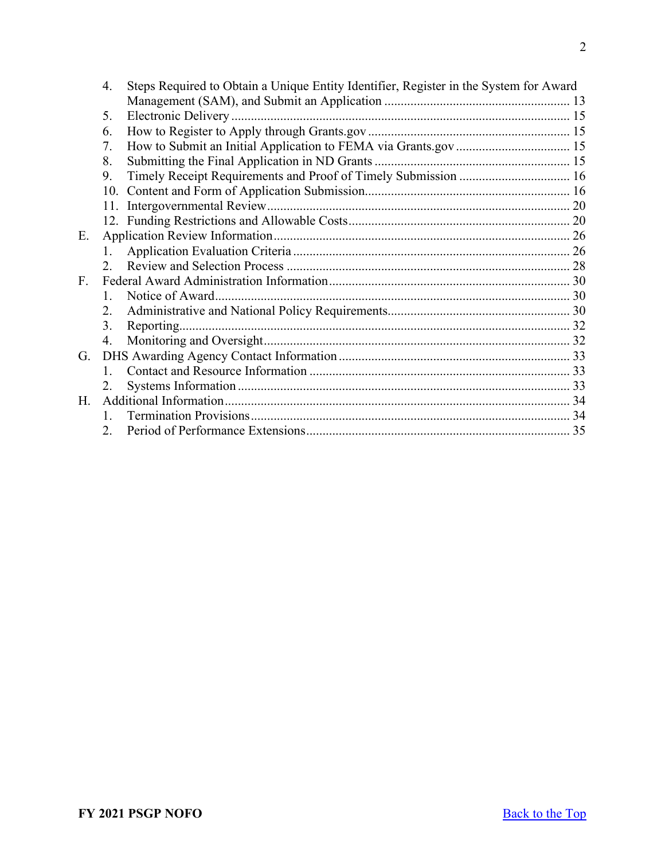|             | 4.            | Steps Required to Obtain a Unique Entity Identifier, Register in the System for Award |  |
|-------------|---------------|---------------------------------------------------------------------------------------|--|
|             |               |                                                                                       |  |
|             | 5.            |                                                                                       |  |
|             | 6.            |                                                                                       |  |
|             | 7.            |                                                                                       |  |
|             | 8.            |                                                                                       |  |
|             | 9.            | Timely Receipt Requirements and Proof of Timely Submission  16                        |  |
|             |               |                                                                                       |  |
|             | 11.           |                                                                                       |  |
|             |               |                                                                                       |  |
| Ε.          |               |                                                                                       |  |
|             |               |                                                                                       |  |
|             | $\mathcal{D}$ |                                                                                       |  |
| $F_{\cdot}$ |               |                                                                                       |  |
|             |               |                                                                                       |  |
|             | 2.            |                                                                                       |  |
|             | 3.            | Reporting                                                                             |  |
|             | 4.            |                                                                                       |  |
| G.          |               |                                                                                       |  |
|             |               |                                                                                       |  |
|             | 2.            |                                                                                       |  |
| $H_{\cdot}$ |               |                                                                                       |  |
|             |               |                                                                                       |  |
|             | 2.            |                                                                                       |  |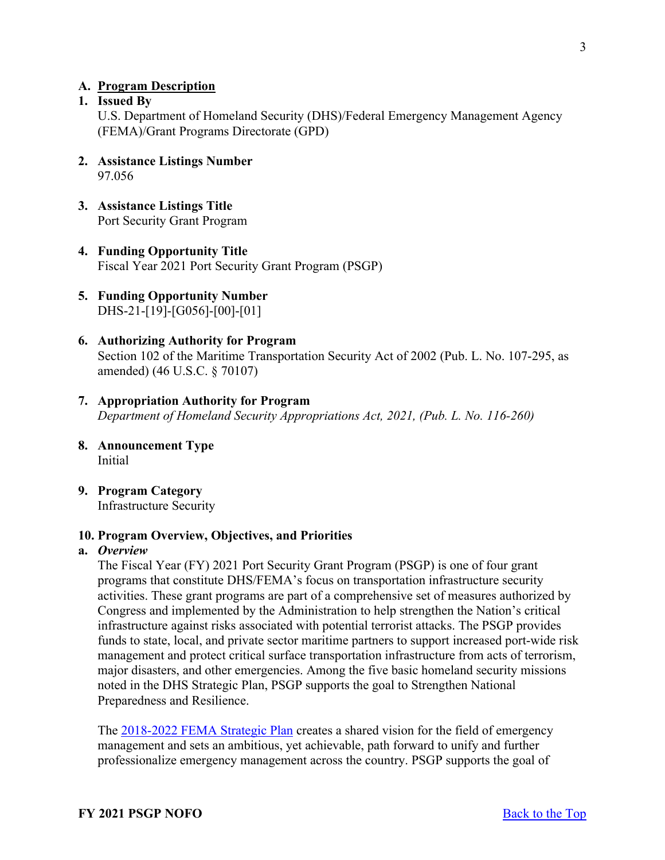#### <span id="page-2-0"></span>**A. Program Description**

# <span id="page-2-1"></span>**1. Issued By**

U.S. Department of Homeland Security (DHS)/Federal Emergency Management Agency (FEMA)/Grant Programs Directorate (GPD)

- <span id="page-2-2"></span>**2. Assistance Listings Number**  97.056
- <span id="page-2-3"></span>**3. Assistance Listings Title** Port Security Grant Program
- <span id="page-2-4"></span>**4. Funding Opportunity Title**  Fiscal Year 2021 Port Security Grant Program (PSGP)
- <span id="page-2-5"></span>**5. Funding Opportunity Number** DHS-21-[19]-[G056]-[00]-[01]
- <span id="page-2-6"></span>**6. Authorizing Authority for Program** Section 102 of the Maritime Transportation Security Act of 2002 (Pub. L. No. 107-295, as amended) (46 U.S.C. § 70107)
- <span id="page-2-7"></span>**7. Appropriation Authority for Program**  *Department of Homeland Security Appropriations Act, 2021, (Pub. L. No. 116-260)*
- <span id="page-2-8"></span>**8. Announcement Type** Initial
- <span id="page-2-9"></span>**9. Program Category**  Infrastructure Security

#### <span id="page-2-10"></span>**10. Program Overview, Objectives, and Priorities**

#### **a.** *Overview*

The Fiscal Year (FY) 2021 Port Security Grant Program (PSGP) is one of four grant programs that constitute DHS/FEMA's focus on transportation infrastructure security activities. These grant programs are part of a comprehensive set of measures authorized by Congress and implemented by the Administration to help strengthen the Nation's critical infrastructure against risks associated with potential terrorist attacks. The PSGP provides funds to state, local, and private sector maritime partners to support increased port-wide risk management and protect critical surface transportation infrastructure from acts of terrorism, major disasters, and other emergencies. Among the five basic homeland security missions noted in the DHS Strategic Plan, PSGP supports the goal to Strengthen National Preparedness and Resilience.

The [2018-2022 FEMA Strategic Plan](https://www.fema.gov/sites/default/files/2020-03/fema-strategic-plan_2018-2022.pdf) creates a shared vision for the field of emergency management and sets an ambitious, yet achievable, path forward to unify and further professionalize emergency management across the country. PSGP supports the goal of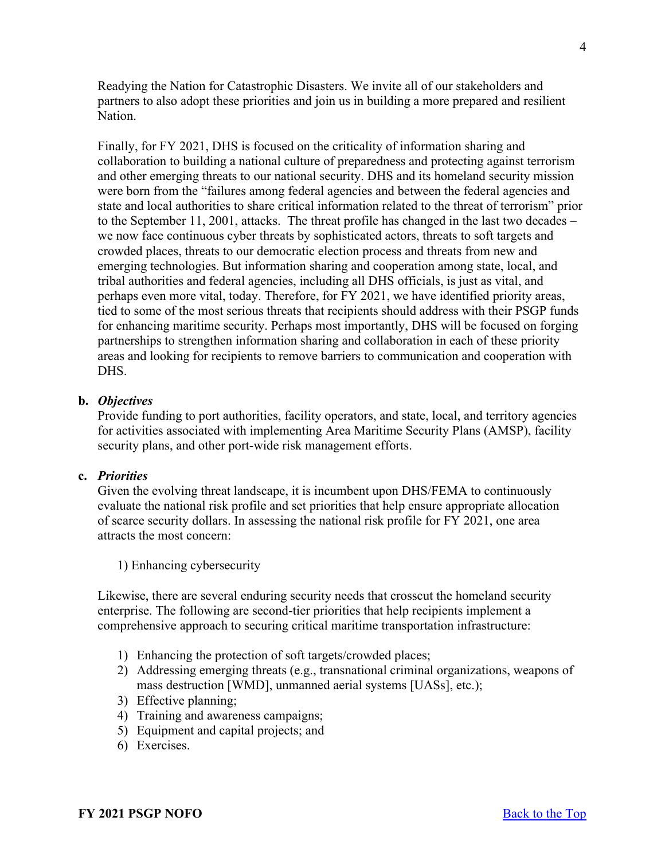Readying the Nation for Catastrophic Disasters. We invite all of our stakeholders and partners to also adopt these priorities and join us in building a more prepared and resilient Nation.

Finally, for FY 2021, DHS is focused on the criticality of information sharing and collaboration to building a national culture of preparedness and protecting against terrorism and other emerging threats to our national security. DHS and its homeland security mission were born from the "failures among federal agencies and between the federal agencies and state and local authorities to share critical information related to the threat of terrorism" prior to the September 11, 2001, attacks. The threat profile has changed in the last two decades – we now face continuous cyber threats by sophisticated actors, threats to soft targets and crowded places, threats to our democratic election process and threats from new and emerging technologies. But information sharing and cooperation among state, local, and tribal authorities and federal agencies, including all DHS officials, is just as vital, and perhaps even more vital, today. Therefore, for FY 2021, we have identified priority areas, tied to some of the most serious threats that recipients should address with their PSGP funds for enhancing maritime security. Perhaps most importantly, DHS will be focused on forging partnerships to strengthen information sharing and collaboration in each of these priority areas and looking for recipients to remove barriers to communication and cooperation with DHS.

## **b.** *Objectives*

Provide funding to port authorities, facility operators, and state, local, and territory agencies for activities associated with implementing Area Maritime Security Plans (AMSP), facility security plans, and other port-wide risk management efforts.

#### **c.** *Priorities*

Given the evolving threat landscape, it is incumbent upon DHS/FEMA to continuously evaluate the national risk profile and set priorities that help ensure appropriate allocation of scarce security dollars. In assessing the national risk profile for FY 2021, one area attracts the most concern:

1) Enhancing cybersecurity

Likewise, there are several enduring security needs that crosscut the homeland security enterprise. The following are second-tier priorities that help recipients implement a comprehensive approach to securing critical maritime transportation infrastructure:

- 1) Enhancing the protection of soft targets/crowded places;
- 2) Addressing emerging threats (e.g., transnational criminal organizations, weapons of mass destruction [WMD], unmanned aerial systems [UASs], etc.);
- 3) Effective planning;
- 4) Training and awareness campaigns;
- 5) Equipment and capital projects; and
- 6) Exercises.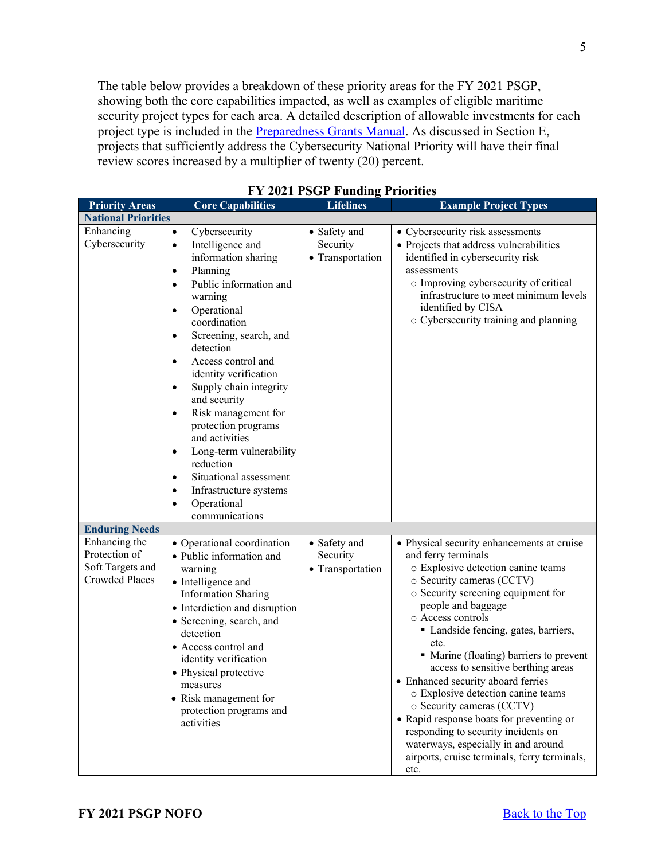The table below provides a breakdown of these priority areas for the FY 2021 PSGP, showing both the core capabilities impacted, as well as examples of eligible maritime security project types for each area. A detailed description of allowable investments for each project type is included in the **Preparedness Grants Manual**. As discussed in Section E, projects that sufficiently address the Cybersecurity National Priority will have their final review scores increased by a multiplier of twenty (20) percent.

| <b>Priority Areas</b>                                                       | <b>Core Capabilities</b>                                                                                                                                                                                                                                                                                                                                                                                                                                                                                                                                                                          | <b>Lifelines</b>                             | <b>Example Project Types</b>                                                                                                                                                                                                                                                                                                                                                                                                                                                                                                                                                                                                                      |
|-----------------------------------------------------------------------------|---------------------------------------------------------------------------------------------------------------------------------------------------------------------------------------------------------------------------------------------------------------------------------------------------------------------------------------------------------------------------------------------------------------------------------------------------------------------------------------------------------------------------------------------------------------------------------------------------|----------------------------------------------|---------------------------------------------------------------------------------------------------------------------------------------------------------------------------------------------------------------------------------------------------------------------------------------------------------------------------------------------------------------------------------------------------------------------------------------------------------------------------------------------------------------------------------------------------------------------------------------------------------------------------------------------------|
| <b>National Priorities</b>                                                  |                                                                                                                                                                                                                                                                                                                                                                                                                                                                                                                                                                                                   |                                              |                                                                                                                                                                                                                                                                                                                                                                                                                                                                                                                                                                                                                                                   |
| Enhancing<br>Cybersecurity                                                  | Cybersecurity<br>$\bullet$<br>Intelligence and<br>$\bullet$<br>information sharing<br>Planning<br>$\bullet$<br>Public information and<br>$\bullet$<br>warning<br>Operational<br>$\bullet$<br>coordination<br>Screening, search, and<br>$\bullet$<br>detection<br>Access control and<br>$\bullet$<br>identity verification<br>Supply chain integrity<br>$\bullet$<br>and security<br>Risk management for<br>٠<br>protection programs<br>and activities<br>Long-term vulnerability<br>٠<br>reduction<br>Situational assessment<br>٠<br>Infrastructure systems<br>٠<br>Operational<br>communications | • Safety and<br>Security<br>• Transportation | • Cybersecurity risk assessments<br>• Projects that address vulnerabilities<br>identified in cybersecurity risk<br>assessments<br>o Improving cybersecurity of critical<br>infrastructure to meet minimum levels<br>identified by CISA<br>o Cybersecurity training and planning                                                                                                                                                                                                                                                                                                                                                                   |
| <b>Enduring Needs</b>                                                       |                                                                                                                                                                                                                                                                                                                                                                                                                                                                                                                                                                                                   |                                              |                                                                                                                                                                                                                                                                                                                                                                                                                                                                                                                                                                                                                                                   |
| Enhancing the<br>Protection of<br>Soft Targets and<br><b>Crowded Places</b> | • Operational coordination<br>· Public information and<br>warning<br>• Intelligence and<br><b>Information Sharing</b><br>• Interdiction and disruption<br>• Screening, search, and<br>detection<br>• Access control and<br>identity verification<br>• Physical protective<br>measures<br>• Risk management for<br>protection programs and<br>activities                                                                                                                                                                                                                                           | • Safety and<br>Security<br>• Transportation | • Physical security enhancements at cruise<br>and ferry terminals<br>o Explosive detection canine teams<br>o Security cameras (CCTV)<br>o Security screening equipment for<br>people and baggage<br>o Access controls<br>• Landside fencing, gates, barriers,<br>etc.<br>• Marine (floating) barriers to prevent<br>access to sensitive berthing areas<br>• Enhanced security aboard ferries<br>o Explosive detection canine teams<br>o Security cameras (CCTV)<br>• Rapid response boats for preventing or<br>responding to security incidents on<br>waterways, especially in and around<br>airports, cruise terminals, ferry terminals,<br>etc. |

**FY 2021 PSGP Funding Priorities**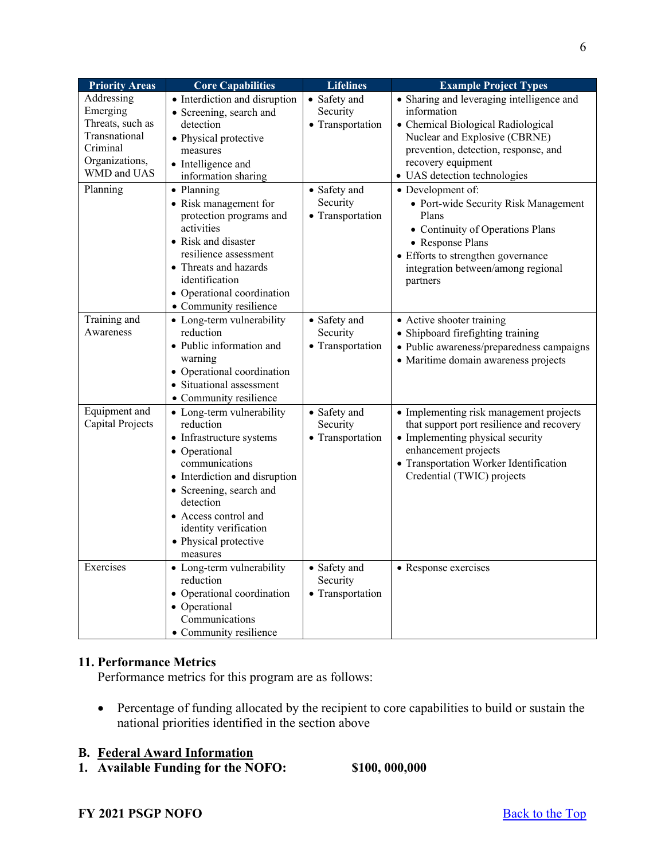| <b>Priority Areas</b> | <b>Core Capabilities</b>        | <b>Lifelines</b> | <b>Example Project Types</b>              |
|-----------------------|---------------------------------|------------------|-------------------------------------------|
| Addressing            | • Interdiction and disruption   | • Safety and     | • Sharing and leveraging intelligence and |
| Emerging              | • Screening, search and         | Security         | information                               |
| Threats, such as      | detection                       | • Transportation | • Chemical Biological Radiological        |
| Transnational         | • Physical protective           |                  | Nuclear and Explosive (CBRNE)             |
| Criminal              | measures                        |                  | prevention, detection, response, and      |
| Organizations,        | • Intelligence and              |                  | recovery equipment                        |
| WMD and UAS           | information sharing             |                  | · UAS detection technologies              |
| Planning              | • Planning                      | • Safety and     | • Development of:                         |
|                       | • Risk management for           | Security         | • Port-wide Security Risk Management      |
|                       | protection programs and         | • Transportation | Plans                                     |
|                       | activities                      |                  | • Continuity of Operations Plans          |
|                       | • Risk and disaster             |                  | • Response Plans                          |
|                       | resilience assessment           |                  | • Efforts to strengthen governance        |
|                       | • Threats and hazards           |                  | integration between/among regional        |
|                       | identification                  |                  | partners                                  |
|                       | • Operational coordination      |                  |                                           |
|                       | • Community resilience          |                  |                                           |
| Training and          | • Long-term vulnerability       | • Safety and     | • Active shooter training                 |
| Awareness             | reduction                       | Security         | • Shipboard firefighting training         |
|                       | • Public information and        | • Transportation | · Public awareness/preparedness campaigns |
|                       | warning                         |                  | · Maritime domain awareness projects      |
|                       | • Operational coordination      |                  |                                           |
|                       | • Situational assessment        |                  |                                           |
|                       | • Community resilience          |                  |                                           |
| Equipment and         | • Long-term vulnerability       | • Safety and     | • Implementing risk management projects   |
| Capital Projects      | reduction                       | Security         | that support port resilience and recovery |
|                       | • Infrastructure systems        | • Transportation | • Implementing physical security          |
|                       | • Operational                   |                  | enhancement projects                      |
|                       | communications                  |                  | • Transportation Worker Identification    |
|                       | • Interdiction and disruption   |                  | Credential (TWIC) projects                |
|                       | • Screening, search and         |                  |                                           |
|                       | detection                       |                  |                                           |
|                       | • Access control and            |                  |                                           |
|                       | identity verification           |                  |                                           |
|                       | • Physical protective           |                  |                                           |
| Exercises             | measures                        |                  |                                           |
|                       | • Long-term vulnerability       | • Safety and     | • Response exercises                      |
|                       | reduction                       | Security         |                                           |
|                       | • Operational coordination      | • Transportation |                                           |
|                       | • Operational<br>Communications |                  |                                           |
|                       |                                 |                  |                                           |
|                       | • Community resilience          |                  |                                           |

# <span id="page-5-0"></span>**11. Performance Metrics**

Performance metrics for this program are as follows:

• Percentage of funding allocated by the recipient to core capabilities to build or sustain the national priorities identified in the section above

# <span id="page-5-1"></span>**B. Federal Award Information**

<span id="page-5-2"></span>**1. Available Funding for the NOFO: \$100, 000,000**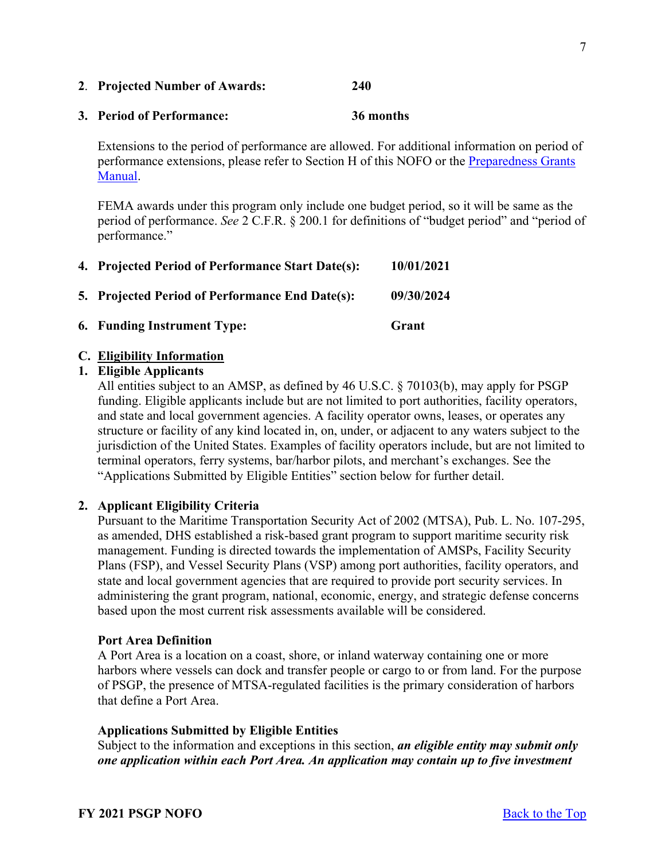performance."

<span id="page-6-3"></span><span id="page-6-2"></span>

| 4. Projected Period of Performance Start Date(s):      | 10/01/2021 |
|--------------------------------------------------------|------------|
| <b>5. Projected Period of Performance End Date(s):</b> | 09/30/2024 |
| <b>6. Funding Instrument Type:</b>                     | Grant      |

<span id="page-6-1"></span>**3. Period of Performance: 36 months** 

# <span id="page-6-5"></span><span id="page-6-4"></span>**C. Eligibility Information**

# <span id="page-6-6"></span>**1. Eligible Applicants**

[Manual.](https://www.fema.gov/media-library/assets/documents/178291)

All entities subject to an AMSP, as defined by 46 U.S.C. § 70103(b), may apply for PSGP funding. Eligible applicants include but are not limited to port authorities, facility operators, and state and local government agencies. A facility operator owns, leases, or operates any structure or facility of any kind located in, on, under, or adjacent to any waters subject to the jurisdiction of the United States. Examples of facility operators include, but are not limited to terminal operators, ferry systems, bar/harbor pilots, and merchant's exchanges. See the "Applications Submitted by Eligible Entities" section below for further detail.

# <span id="page-6-7"></span>**2. Applicant Eligibility Criteria**

Pursuant to the Maritime Transportation Security Act of 2002 (MTSA), Pub. L. No. 107-295, as amended, DHS established a risk-based grant program to support maritime security risk management. Funding is directed towards the implementation of AMSPs, Facility Security Plans (FSP), and Vessel Security Plans (VSP) among port authorities, facility operators, and state and local government agencies that are required to provide port security services. In administering the grant program, national, economic, energy, and strategic defense concerns based upon the most current risk assessments available will be considered.

## **Port Area Definition**

A Port Area is a location on a coast, shore, or inland waterway containing one or more harbors where vessels can dock and transfer people or cargo to or from land. For the purpose of PSGP, the presence of MTSA-regulated facilities is the primary consideration of harbors that define a Port Area.

# **Applications Submitted by Eligible Entities**

Subject to the information and exceptions in this section, *an eligible entity may submit only one application within each Port Area. An application may contain up to five investment* 

#### <span id="page-6-0"></span>**2**. **Projected Number of Awards: 240**

Extensions to the period of performance are allowed. For additional information on period of performance extensions, please refer to Section H of this NOFO or the Preparedness Grants

FEMA awards under this program only include one budget period, so it will be same as the period of performance. *See* 2 C.F.R. § 200.1 for definitions of "budget period" and "period of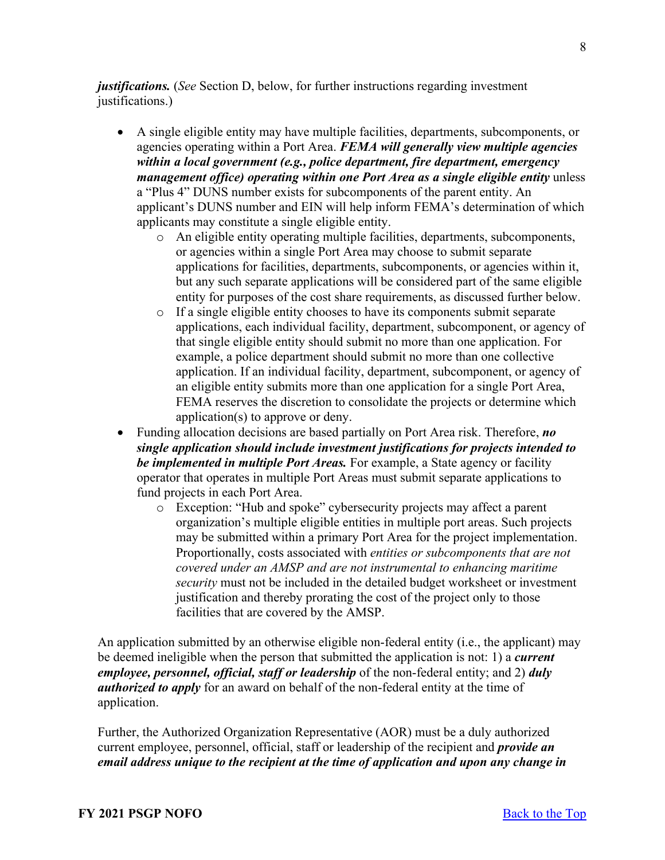*justifications.* (*See* Section D, below, for further instructions regarding investment justifications.)

- A single eligible entity may have multiple facilities, departments, subcomponents, or agencies operating within a Port Area. *FEMA will generally view multiple agencies within a local government (e.g., police department, fire department, emergency management office) operating within one Port Area as a single eligible entity* unless a "Plus 4" DUNS number exists for subcomponents of the parent entity. An applicant's DUNS number and EIN will help inform FEMA's determination of which applicants may constitute a single eligible entity.
	- o An eligible entity operating multiple facilities, departments, subcomponents, or agencies within a single Port Area may choose to submit separate applications for facilities, departments, subcomponents, or agencies within it, but any such separate applications will be considered part of the same eligible entity for purposes of the cost share requirements, as discussed further below.
	- o If a single eligible entity chooses to have its components submit separate applications, each individual facility, department, subcomponent, or agency of that single eligible entity should submit no more than one application. For example, a police department should submit no more than one collective application. If an individual facility, department, subcomponent, or agency of an eligible entity submits more than one application for a single Port Area, FEMA reserves the discretion to consolidate the projects or determine which application(s) to approve or deny.
- Funding allocation decisions are based partially on Port Area risk. Therefore, *no single application should include investment justifications for projects intended to be implemented in multiple Port Areas.* For example, a State agency or facility operator that operates in multiple Port Areas must submit separate applications to fund projects in each Port Area.
	- o Exception: "Hub and spoke" cybersecurity projects may affect a parent organization's multiple eligible entities in multiple port areas. Such projects may be submitted within a primary Port Area for the project implementation. Proportionally, costs associated with *entities or subcomponents that are not covered under an AMSP and are not instrumental to enhancing maritime security* must not be included in the detailed budget worksheet or investment justification and thereby prorating the cost of the project only to those facilities that are covered by the AMSP.

An application submitted by an otherwise eligible non-federal entity (i.e., the applicant) may be deemed ineligible when the person that submitted the application is not: 1) a *current employee, personnel, official, staff or leadership* of the non-federal entity; and 2) *duly authorized to apply* for an award on behalf of the non-federal entity at the time of application.

Further, the Authorized Organization Representative (AOR) must be a duly authorized current employee, personnel, official, staff or leadership of the recipient and *provide an email address unique to the recipient at the time of application and upon any change in*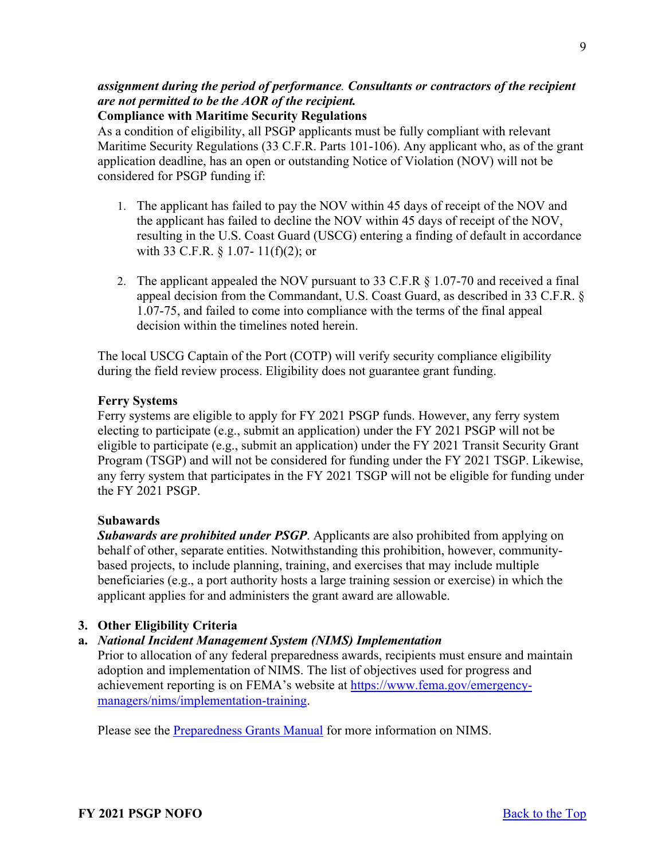# *assignment during the period of performance. Consultants or contractors of the recipient are not permitted to be the AOR of the recipient.*

## **Compliance with Maritime Security Regulations**

As a condition of eligibility, all PSGP applicants must be fully compliant with relevant Maritime Security Regulations (33 C.F.R. Parts 101-106). Any applicant who, as of the grant application deadline, has an open or outstanding Notice of Violation (NOV) will not be considered for PSGP funding if:

- 1. The applicant has failed to pay the NOV within 45 days of receipt of the NOV and the applicant has failed to decline the NOV within 45 days of receipt of the NOV, resulting in the U.S. Coast Guard (USCG) entering a finding of default in accordance with 33 C.F.R. § 1.07- 11(f)(2); or
- 2. The applicant appealed the NOV pursuant to 33 C.F.R § 1.07-70 and received a final appeal decision from the Commandant, U.S. Coast Guard, as described in 33 C.F.R. § 1.07-75, and failed to come into compliance with the terms of the final appeal decision within the timelines noted herein.

The local USCG Captain of the Port (COTP) will verify security compliance eligibility during the field review process. Eligibility does not guarantee grant funding.

# **Ferry Systems**

Ferry systems are eligible to apply for FY 2021 PSGP funds. However, any ferry system electing to participate (e.g., submit an application) under the FY 2021 PSGP will not be eligible to participate (e.g., submit an application) under the FY 2021 Transit Security Grant Program (TSGP) and will not be considered for funding under the FY 2021 TSGP. Likewise, any ferry system that participates in the FY 2021 TSGP will not be eligible for funding under the FY 2021 PSGP.

### **Subawards**

*Subawards are prohibited under PSGP*. Applicants are also prohibited from applying on behalf of other, separate entities. Notwithstanding this prohibition, however, communitybased projects, to include planning, training, and exercises that may include multiple beneficiaries (e.g., a port authority hosts a large training session or exercise) in which the applicant applies for and administers the grant award are allowable.

# <span id="page-8-0"></span>**3. Other Eligibility Criteria**

# **a.** *National Incident Management System (NIMS) Implementation*

Prior to allocation of any federal preparedness awards, recipients must ensure and maintain adoption and implementation of NIMS. The list of objectives used for progress and achievement reporting is on FEMA's website at [https://www.fema.gov/emergency](https://www.fema.gov/emergency-managers/nims/implementation-training)[managers/nims/implementation-training.](https://www.fema.gov/emergency-managers/nims/implementation-training)

Please see the [Preparedness Grants Manual](https://www.fema.gov/media-library/assets/documents/178291) for more information on NIMS.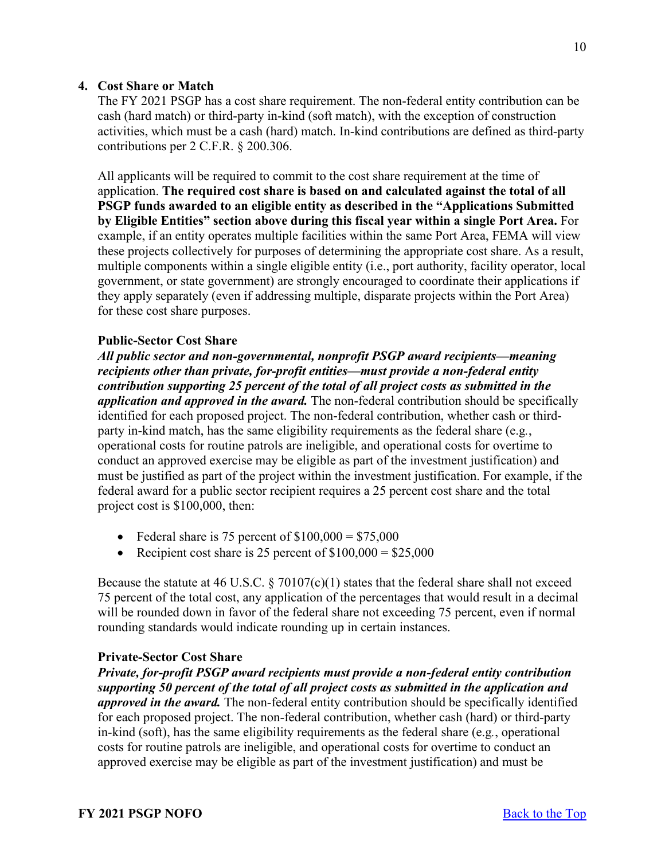# <span id="page-9-0"></span>**4. Cost Share or Match**

The FY 2021 PSGP has a cost share requirement. The non-federal entity contribution can be cash (hard match) or third-party in-kind (soft match), with the exception of construction activities, which must be a cash (hard) match. In-kind contributions are defined as third-party contributions per 2 C.F.R. § 200.306.

All applicants will be required to commit to the cost share requirement at the time of application. **The required cost share is based on and calculated against the total of all PSGP funds awarded to an eligible entity as described in the "Applications Submitted by Eligible Entities" section above during this fiscal year within a single Port Area.** For example, if an entity operates multiple facilities within the same Port Area, FEMA will view these projects collectively for purposes of determining the appropriate cost share. As a result, multiple components within a single eligible entity (i.e., port authority, facility operator, local government, or state government) are strongly encouraged to coordinate their applications if they apply separately (even if addressing multiple, disparate projects within the Port Area) for these cost share purposes.

### **Public-Sector Cost Share**

*All public sector and non-governmental, nonprofit PSGP award recipients—meaning recipients other than private, for-profit entities—must provide a non-federal entity contribution supporting 25 percent of the total of all project costs as submitted in the application and approved in the award.* The non-federal contribution should be specifically identified for each proposed project. The non-federal contribution, whether cash or thirdparty in-kind match, has the same eligibility requirements as the federal share (e.g*.*, operational costs for routine patrols are ineligible, and operational costs for overtime to conduct an approved exercise may be eligible as part of the investment justification) and must be justified as part of the project within the investment justification. For example, if the federal award for a public sector recipient requires a 25 percent cost share and the total project cost is \$100,000, then:

- Federal share is 75 percent of  $$100,000 = $75,000$
- Recipient cost share is 25 percent of  $$100,000 = $25,000$

Because the statute at 46 U.S.C.  $\S 70107(c)(1)$  states that the federal share shall not exceed 75 percent of the total cost, any application of the percentages that would result in a decimal will be rounded down in favor of the federal share not exceeding 75 percent, even if normal rounding standards would indicate rounding up in certain instances.

#### **Private-Sector Cost Share**

*Private, for-profit PSGP award recipients must provide a non-federal entity contribution supporting 50 percent of the total of all project costs as submitted in the application and approved in the award.* The non-federal entity contribution should be specifically identified for each proposed project. The non-federal contribution, whether cash (hard) or third-party in-kind (soft), has the same eligibility requirements as the federal share (e.g*.*, operational costs for routine patrols are ineligible, and operational costs for overtime to conduct an approved exercise may be eligible as part of the investment justification) and must be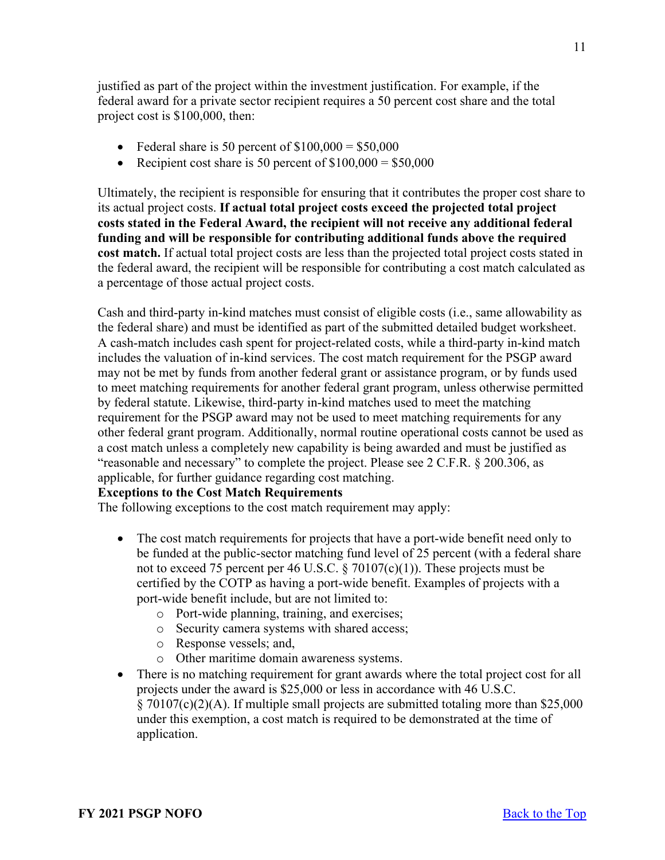justified as part of the project within the investment justification. For example, if the federal award for a private sector recipient requires a 50 percent cost share and the total project cost is \$100,000, then:

- Federal share is 50 percent of  $$100,000 = $50,000$
- Recipient cost share is 50 percent of  $$100,000 = $50,000$

Ultimately, the recipient is responsible for ensuring that it contributes the proper cost share to its actual project costs. **If actual total project costs exceed the projected total project costs stated in the Federal Award, the recipient will not receive any additional federal funding and will be responsible for contributing additional funds above the required**  cost match. If actual total project costs are less than the projected total project costs stated in the federal award, the recipient will be responsible for contributing a cost match calculated as a percentage of those actual project costs.

Cash and third-party in-kind matches must consist of eligible costs (i.e., same allowability as the federal share) and must be identified as part of the submitted detailed budget worksheet. A cash-match includes cash spent for project-related costs, while a third-party in-kind match includes the valuation of in-kind services. The cost match requirement for the PSGP award may not be met by funds from another federal grant or assistance program, or by funds used to meet matching requirements for another federal grant program, unless otherwise permitted by federal statute. Likewise, third-party in-kind matches used to meet the matching requirement for the PSGP award may not be used to meet matching requirements for any other federal grant program. Additionally, normal routine operational costs cannot be used as a cost match unless a completely new capability is being awarded and must be justified as "reasonable and necessary" to complete the project. Please see 2 C.F.R. § 200.306, as applicable, for further guidance regarding cost matching.

### **Exceptions to the Cost Match Requirements**

The following exceptions to the cost match requirement may apply:

- The cost match requirements for projects that have a port-wide benefit need only to be funded at the public-sector matching fund level of 25 percent (with a federal share not to exceed 75 percent per 46 U.S.C. § 70107(c)(1)). These projects must be certified by the COTP as having a port-wide benefit. Examples of projects with a port-wide benefit include, but are not limited to:
	- o Port-wide planning, training, and exercises;
	- o Security camera systems with shared access;
	- o Response vessels; and,
	- o Other maritime domain awareness systems.
- There is no matching requirement for grant awards where the total project cost for all projects under the award is \$25,000 or less in accordance with 46 U.S.C. § 70107(c)(2)(A). If multiple small projects are submitted totaling more than \$25,000 under this exemption, a cost match is required to be demonstrated at the time of application.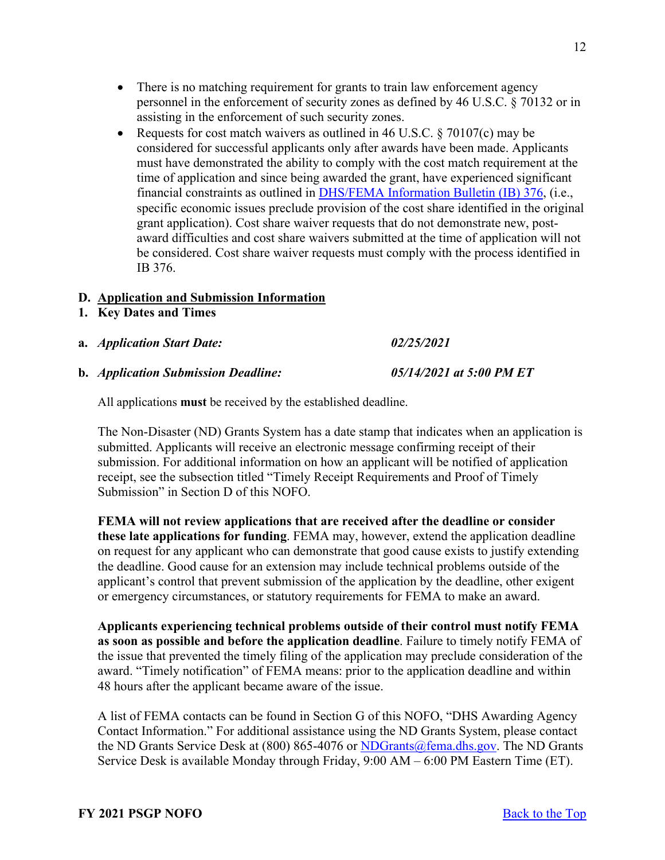12

- There is no matching requirement for grants to train law enforcement agency personnel in the enforcement of security zones as defined by 46 U.S.C. § 70132 or in assisting in the enforcement of such security zones.
- Requests for cost match waivers as outlined in 46 U.S.C.  $\S$  70107(c) may be considered for successful applicants only after awards have been made. Applicants must have demonstrated the ability to comply with the cost match requirement at the time of application and since being awarded the grant, have experienced significant financial constraints as outlined in [DHS/FEMA Information Bulletin \(IB\) 376,](https://www.fema.gov/pdf/government/grant/bulletins/info376.pdf) (i.e., specific economic issues preclude provision of the cost share identified in the original grant application). Cost share waiver requests that do not demonstrate new, postaward difficulties and cost share waivers submitted at the time of application will not be considered. Cost share waiver requests must comply with the process identified in IB 376.

### <span id="page-11-0"></span>**D. Application and Submission Information**

- <span id="page-11-1"></span>**1. Key Dates and Times**
- **a.** *Application Start Date: 02/25/2021*
- **b.** *Application Submission Deadline: 05/14/2021 at 5:00 PM ET*

All applications **must** be received by the established deadline.

The Non-Disaster (ND) Grants System has a date stamp that indicates when an application is submitted. Applicants will receive an electronic message confirming receipt of their submission. For additional information on how an applicant will be notified of application receipt, see the subsection titled "Timely Receipt Requirements and Proof of Timely Submission" in Section D of this NOFO.

**FEMA will not review applications that are received after the deadline or consider these late applications for funding**. FEMA may, however, extend the application deadline on request for any applicant who can demonstrate that good cause exists to justify extending the deadline. Good cause for an extension may include technical problems outside of the applicant's control that prevent submission of the application by the deadline, other exigent or emergency circumstances, or statutory requirements for FEMA to make an award.

**Applicants experiencing technical problems outside of their control must notify FEMA as soon as possible and before the application deadline**. Failure to timely notify FEMA of the issue that prevented the timely filing of the application may preclude consideration of the award. "Timely notification" of FEMA means: prior to the application deadline and within 48 hours after the applicant became aware of the issue.

A list of FEMA contacts can be found in Section G of this NOFO, "DHS Awarding Agency Contact Information." For additional assistance using the ND Grants System, please contact the ND Grants Service Desk at  $(800) 865-4076$  or [NDGrants@fema.dhs.gov.](mailto:NDGrants@fema.dhs.gov) The ND Grants Service Desk is available Monday through Friday, 9:00 AM – 6:00 PM Eastern Time (ET).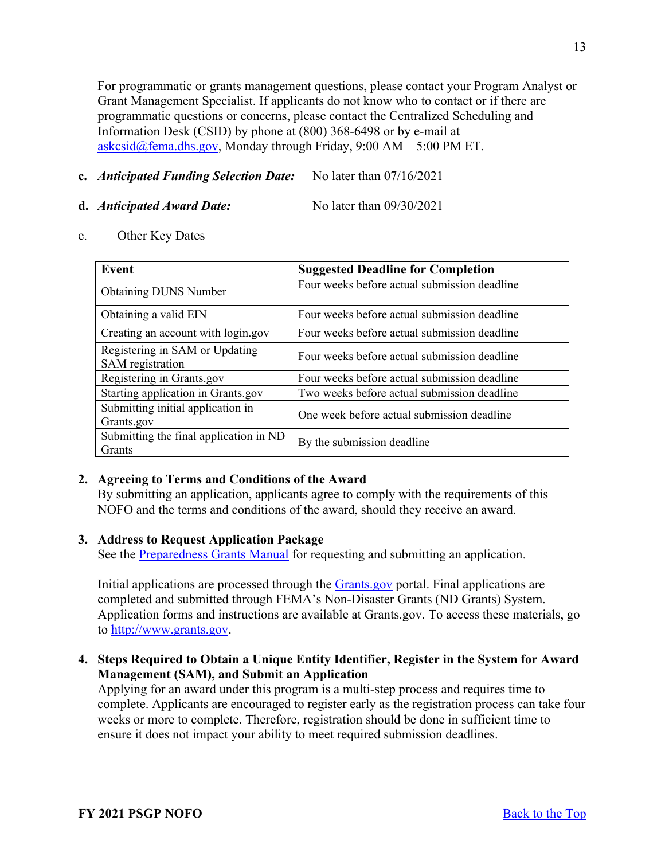For programmatic or grants management questions, please contact your Program Analyst or Grant Management Specialist. If applicants do not know who to contact or if there are programmatic questions or concerns, please contact the Centralized Scheduling and Information Desk (CSID) by phone at (800) 368-6498 or by e-mail at [askcsid@fema.dhs.gov,](mailto:askcsid@fema.dhs.gov) Monday through Friday,  $9:00$  AM –  $5:00$  PM ET.

#### **c.** *Anticipated Funding Selection Date:*No later than 07/16/2021

#### **d.** *Anticipated Award Date:* No later than 09/30/2021

e. Other Key Dates

| Event                                                   | <b>Suggested Deadline for Completion</b>     |
|---------------------------------------------------------|----------------------------------------------|
| <b>Obtaining DUNS Number</b>                            | Four weeks before actual submission deadline |
| Obtaining a valid EIN                                   | Four weeks before actual submission deadline |
| Creating an account with login.gov                      | Four weeks before actual submission deadline |
| Registering in SAM or Updating<br>SAM registration      | Four weeks before actual submission deadline |
| Registering in Grants.gov                               | Four weeks before actual submission deadline |
| Starting application in Grants.gov                      | Two weeks before actual submission deadline  |
| Submitting initial application in<br>Grants.gov         | One week before actual submission deadline   |
| Submitting the final application in ND<br><b>Grants</b> | By the submission deadline                   |

### <span id="page-12-0"></span>**2. Agreeing to Terms and Conditions of the Award**

By submitting an application, applicants agree to comply with the requirements of this NOFO and the terms and conditions of the award, should they receive an award.

#### <span id="page-12-1"></span>**3. Address to Request Application Package**

See the [Preparedness Grants Manual](https://www.fema.gov/media-library/assets/documents/178291) for requesting and submitting an application.

Initial applications are processed through the **Grants** gov portal. Final applications are completed and submitted through FEMA's Non-Disaster Grants (ND Grants) System. Application forms and instructions are available at Grants.gov. To access these materials, go to [http://www.grants.gov.](http://www.grants.gov/)

# <span id="page-12-2"></span>**4. Steps Required to Obtain a Unique Entity Identifier, Register in the System for Award Management (SAM), and Submit an Application**

Applying for an award under this program is a multi-step process and requires time to complete. Applicants are encouraged to register early as the registration process can take four weeks or more to complete. Therefore, registration should be done in sufficient time to ensure it does not impact your ability to meet required submission deadlines.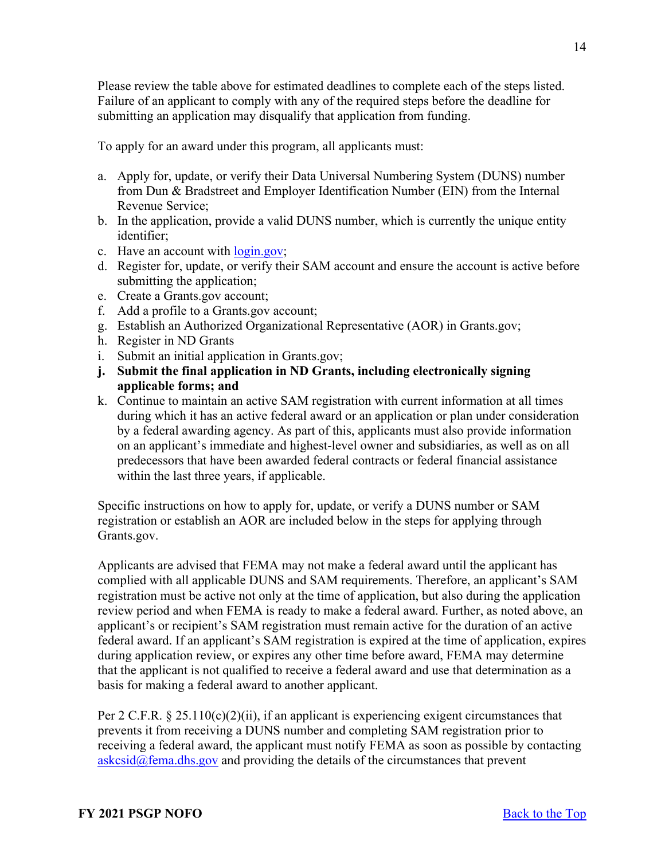Please review the table above for estimated deadlines to complete each of the steps listed. Failure of an applicant to comply with any of the required steps before the deadline for submitting an application may disqualify that application from funding.

To apply for an award under this program, all applicants must:

- a. Apply for, update, or verify their Data Universal Numbering System (DUNS) number from Dun & Bradstreet and Employer Identification Number (EIN) from the Internal Revenue Service;
- b. In the application, provide a valid DUNS number, which is currently the unique entity identifier;
- c. Have an account with [login.gov;](https://www.login.gov/)
- d. Register for, update, or verify their SAM account and ensure the account is active before submitting the application;
- e. Create a Grants.gov account;
- f. Add a profile to a Grants.gov account;
- g. Establish an Authorized Organizational Representative (AOR) in Grants.gov;
- h. Register in ND Grants
- i. Submit an initial application in Grants.gov;
- **j. Submit the final application in ND Grants, including electronically signing applicable forms; and**
- k. Continue to maintain an active SAM registration with current information at all times during which it has an active federal award or an application or plan under consideration by a federal awarding agency. As part of this, applicants must also provide information on an applicant's immediate and highest-level owner and subsidiaries, as well as on all predecessors that have been awarded federal contracts or federal financial assistance within the last three years, if applicable.

Specific instructions on how to apply for, update, or verify a DUNS number or SAM registration or establish an AOR are included below in the steps for applying through Grants.gov.

Applicants are advised that FEMA may not make a federal award until the applicant has complied with all applicable DUNS and SAM requirements. Therefore, an applicant's SAM registration must be active not only at the time of application, but also during the application review period and when FEMA is ready to make a federal award. Further, as noted above, an applicant's or recipient's SAM registration must remain active for the duration of an active federal award. If an applicant's SAM registration is expired at the time of application, expires during application review, or expires any other time before award, FEMA may determine that the applicant is not qualified to receive a federal award and use that determination as a basis for making a federal award to another applicant.

Per 2 C.F.R. § 25.110(c)(2)(ii), if an applicant is experiencing exigent circumstances that prevents it from receiving a DUNS number and completing SAM registration prior to receiving a federal award, the applicant must notify FEMA as soon as possible by contacting  $askcsid@fema.dhs.gov$  and providing the details of the circumstances that prevent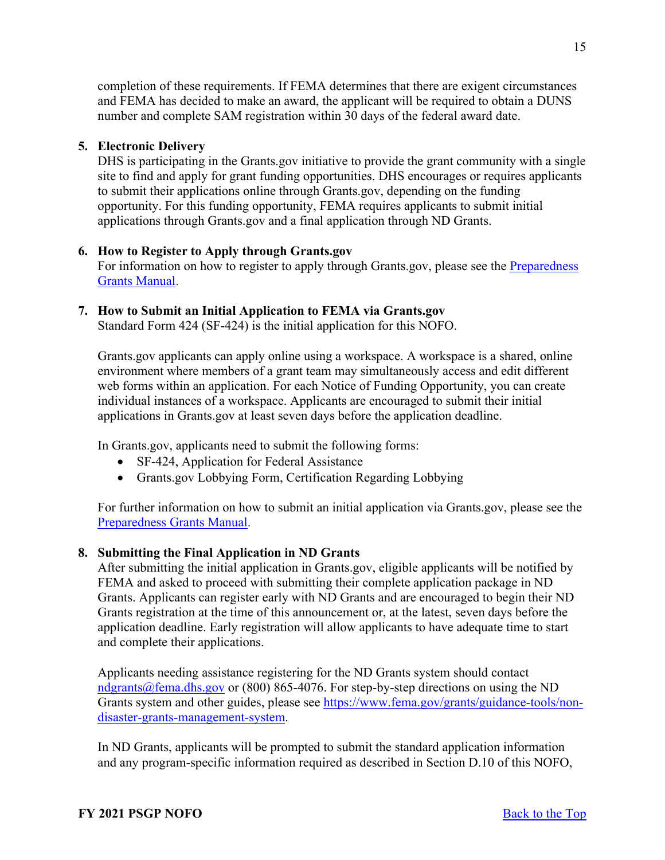completion of these requirements. If FEMA determines that there are exigent circumstances and FEMA has decided to make an award, the applicant will be required to obtain a DUNS number and complete SAM registration within 30 days of the federal award date.

# <span id="page-14-0"></span>**5. Electronic Delivery**

DHS is participating in the Grants.gov initiative to provide the grant community with a single site to find and apply for grant funding opportunities. DHS encourages or requires applicants to submit their applications online through Grants.gov, depending on the funding opportunity. For this funding opportunity, FEMA requires applicants to submit initial applications through Grants.gov and a final application through ND Grants.

# <span id="page-14-1"></span>**6. How to Register to Apply through Grants.gov**

For information on how to register to apply through Grants.gov, please see the Preparedness [Grants Manual.](https://www.fema.gov/media-library/assets/documents/178291)

### <span id="page-14-2"></span>**7. How to Submit an Initial Application to FEMA via Grants.gov**

Standard Form 424 (SF-424) is the initial application for this NOFO.

Grants.gov applicants can apply online using a workspace. A workspace is a shared, online environment where members of a grant team may simultaneously access and edit different web forms within an application. For each Notice of Funding Opportunity, you can create individual instances of a workspace. Applicants are encouraged to submit their initial applications in Grants.gov at least seven days before the application deadline.

In Grants.gov, applicants need to submit the following forms:

- SF-424, Application for Federal Assistance
- Grants.gov Lobbying Form, Certification Regarding Lobbying

For further information on how to submit an initial application via Grants.gov, please see the [Preparedness Grants Manual.](https://www.fema.gov/media-library/assets/documents/178291)

# <span id="page-14-3"></span>**8. Submitting the Final Application in ND Grants**

After submitting the initial application in Grants.gov, eligible applicants will be notified by FEMA and asked to proceed with submitting their complete application package in ND Grants. Applicants can register early with ND Grants and are encouraged to begin their ND Grants registration at the time of this announcement or, at the latest, seven days before the application deadline. Early registration will allow applicants to have adequate time to start and complete their applications.

Applicants needing assistance registering for the ND Grants system should contact [ndgrants@fema.dhs.gov](mailto:ndgrants@fema.dhs.gov) or (800) 865-4076. For step-by-step directions on using the ND Grants system and other guides, please see [https://www.fema.gov/grants/guidance-tools/non](https://www.fema.gov/grants/guidance-tools/non-disaster-grants-management-system)[disaster-grants-management-system.](https://www.fema.gov/grants/guidance-tools/non-disaster-grants-management-system)

In ND Grants, applicants will be prompted to submit the standard application information and any program-specific information required as described in Section D.10 of this NOFO,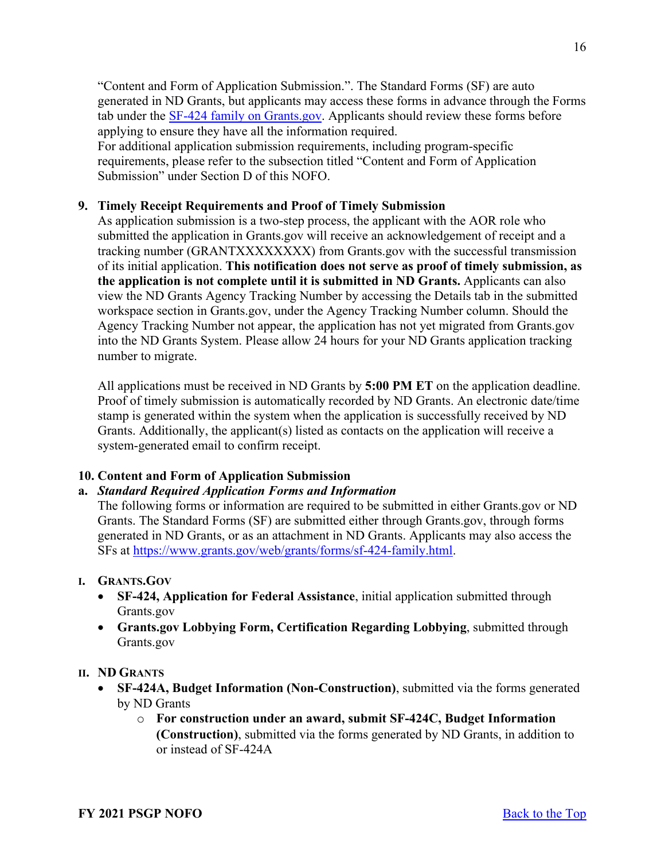"Content and Form of Application Submission.". The Standard Forms (SF) are auto generated in ND Grants, but applicants may access these forms in advance through the Forms tab under the [SF-424 family on Grants.gov.](https://www.grants.gov/forms/sf-424-family.html) Applicants should review these forms before applying to ensure they have all the information required. For additional application submission requirements, including program-specific requirements, please refer to the subsection titled "Content and Form of Application

Submission" under Section D of this NOFO.

## <span id="page-15-0"></span>**9. Timely Receipt Requirements and Proof of Timely Submission**

As application submission is a two-step process, the applicant with the AOR role who submitted the application in Grants.gov will receive an acknowledgement of receipt and a tracking number (GRANTXXXXXXXX) from Grants.gov with the successful transmission of its initial application. **This notification does not serve as proof of timely submission, as the application is not complete until it is submitted in ND Grants.** Applicants can also view the ND Grants Agency Tracking Number by accessing the Details tab in the submitted workspace section in Grants.gov, under the Agency Tracking Number column. Should the Agency Tracking Number not appear, the application has not yet migrated from Grants.gov into the ND Grants System. Please allow 24 hours for your ND Grants application tracking number to migrate.

All applications must be received in ND Grants by **5:00 PM ET** on the application deadline. Proof of timely submission is automatically recorded by ND Grants. An electronic date/time stamp is generated within the system when the application is successfully received by ND Grants. Additionally, the applicant(s) listed as contacts on the application will receive a system-generated email to confirm receipt.

# <span id="page-15-1"></span>**10. Content and Form of Application Submission**

### **a.** *Standard Required Application Forms and Information*

The following forms or information are required to be submitted in either Grants.gov or ND Grants. The Standard Forms (SF) are submitted either through Grants.gov, through forms generated in ND Grants, or as an attachment in ND Grants. Applicants may also access the SFs at [https://www.grants.gov/web/grants/forms/sf-424-family.html.](https://www.grants.gov/web/grants/forms/sf-424-family.html)

### **I. GRANTS.GOV**

- **SF-424, Application for Federal Assistance**, initial application submitted through Grants.gov
- **Grants.gov Lobbying Form, Certification Regarding Lobbying**, submitted through Grants.gov

### **II. ND GRANTS**

- **SF-424A, Budget Information (Non-Construction)**, submitted via the forms generated by ND Grants
	- o **For construction under an award, submit SF-424C, Budget Information (Construction)**, submitted via the forms generated by ND Grants, in addition to or instead of SF-424A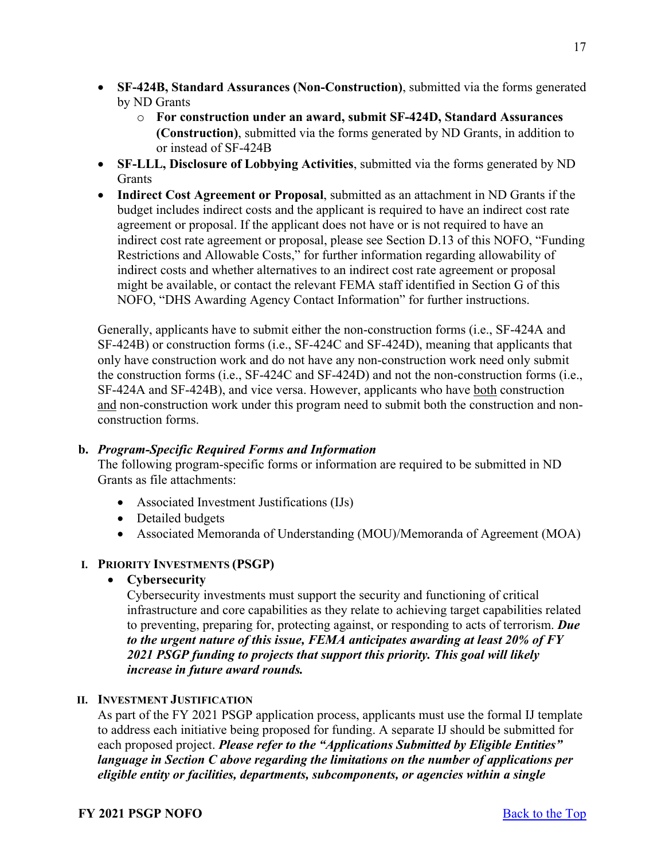- **SF-424B, Standard Assurances (Non-Construction)**, submitted via the forms generated by ND Grants
	- o **For construction under an award, submit SF-424D, Standard Assurances (Construction)**, submitted via the forms generated by ND Grants, in addition to or instead of SF-424B
- **SF-LLL, Disclosure of Lobbying Activities**, submitted via the forms generated by ND Grants
- **Indirect Cost Agreement or Proposal**, submitted as an attachment in ND Grants if the budget includes indirect costs and the applicant is required to have an indirect cost rate agreement or proposal. If the applicant does not have or is not required to have an indirect cost rate agreement or proposal, please see Section D.13 of this NOFO, "Funding Restrictions and Allowable Costs," for further information regarding allowability of indirect costs and whether alternatives to an indirect cost rate agreement or proposal might be available, or contact the relevant FEMA staff identified in Section G of this NOFO, "DHS Awarding Agency Contact Information" for further instructions.

Generally, applicants have to submit either the non-construction forms (i.e., SF-424A and SF-424B) or construction forms (i.e., SF-424C and SF-424D), meaning that applicants that only have construction work and do not have any non-construction work need only submit the construction forms (i.e., SF-424C and SF-424D) and not the non-construction forms (i.e., SF-424A and SF-424B), and vice versa. However, applicants who have both construction and non-construction work under this program need to submit both the construction and nonconstruction forms.

### **b.** *Program-Specific Required Forms and Information*

The following program-specific forms or information are required to be submitted in ND Grants as file attachments:

- Associated Investment Justifications (IJs)
- Detailed budgets
- Associated Memoranda of Understanding (MOU)/Memoranda of Agreement (MOA)

### **I. PRIORITY INVESTMENTS (PSGP)**

• **Cybersecurity**

Cybersecurity investments must support the security and functioning of critical infrastructure and core capabilities as they relate to achieving target capabilities related to preventing, preparing for, protecting against, or responding to acts of terrorism. *Due to the urgent nature of this issue, FEMA anticipates awarding at least 20% of FY 2021 PSGP funding to projects that support this priority. This goal will likely increase in future award rounds.*

### **II. INVESTMENT JUSTIFICATION**

As part of the FY 2021 PSGP application process, applicants must use the formal IJ template to address each initiative being proposed for funding. A separate IJ should be submitted for each proposed project. *Please refer to the "Applications Submitted by Eligible Entities" language in Section C above regarding the limitations on the number of applications per eligible entity or facilities, departments, subcomponents, or agencies within a single*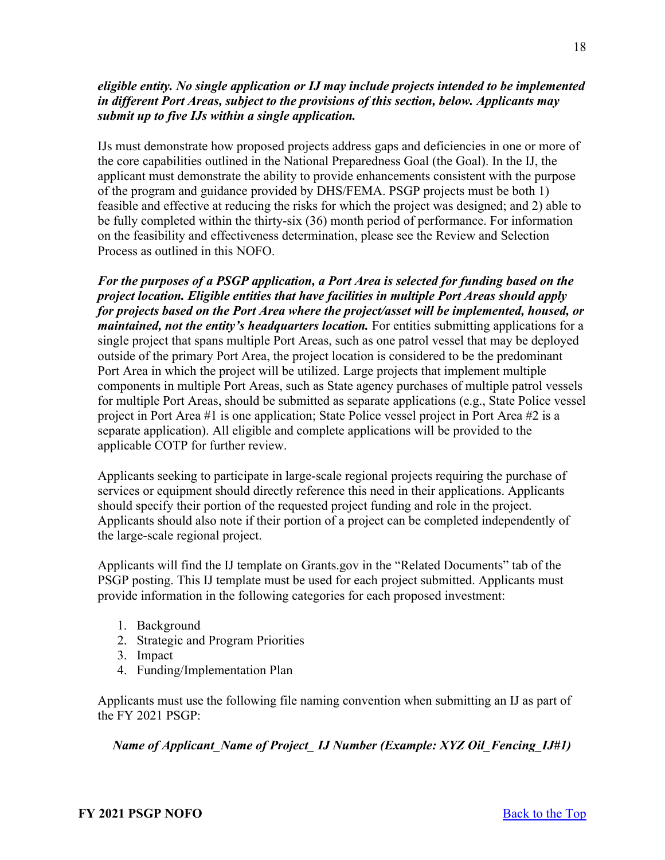# *eligible entity. No single application or IJ may include projects intended to be implemented in different Port Areas, subject to the provisions of this section, below. Applicants may submit up to five IJs within a single application.*

IJs must demonstrate how proposed projects address gaps and deficiencies in one or more of the core capabilities outlined in the National Preparedness Goal (the Goal). In the IJ, the applicant must demonstrate the ability to provide enhancements consistent with the purpose of the program and guidance provided by DHS/FEMA. PSGP projects must be both 1) feasible and effective at reducing the risks for which the project was designed; and 2) able to be fully completed within the thirty-six (36) month period of performance. For information on the feasibility and effectiveness determination, please see the Review and Selection Process as outlined in this NOFO.

*For the purposes of a PSGP application, a Port Area is selected for funding based on the project location. Eligible entities that have facilities in multiple Port Areas should apply for projects based on the Port Area where the project/asset will be implemented, housed, or maintained, not the entity's headquarters location.* For entities submitting applications for a single project that spans multiple Port Areas, such as one patrol vessel that may be deployed outside of the primary Port Area, the project location is considered to be the predominant Port Area in which the project will be utilized. Large projects that implement multiple components in multiple Port Areas, such as State agency purchases of multiple patrol vessels for multiple Port Areas, should be submitted as separate applications (e.g., State Police vessel project in Port Area #1 is one application; State Police vessel project in Port Area #2 is a separate application). All eligible and complete applications will be provided to the applicable COTP for further review.

Applicants seeking to participate in large-scale regional projects requiring the purchase of services or equipment should directly reference this need in their applications. Applicants should specify their portion of the requested project funding and role in the project. Applicants should also note if their portion of a project can be completed independently of the large-scale regional project.

Applicants will find the IJ template on Grants.gov in the "Related Documents" tab of the PSGP posting. This IJ template must be used for each project submitted. Applicants must provide information in the following categories for each proposed investment:

- 1. Background
- 2. Strategic and Program Priorities
- 3. Impact
- 4. Funding/Implementation Plan

Applicants must use the following file naming convention when submitting an IJ as part of the FY 2021 PSGP:

*Name of Applicant\_Name of Project\_ IJ Number (Example: XYZ Oil\_Fencing\_IJ#1)*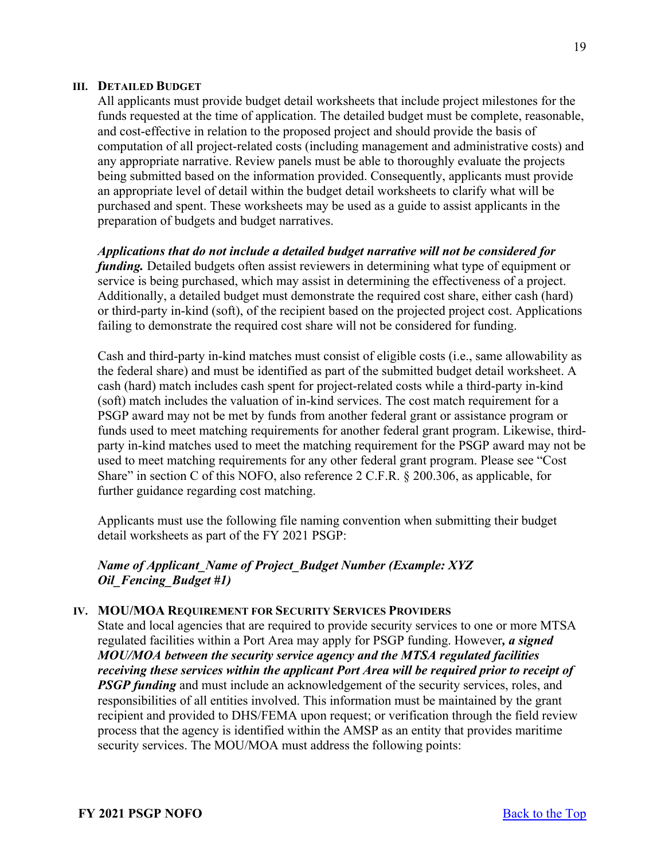#### **III. DETAILED BUDGET**

All applicants must provide budget detail worksheets that include project milestones for the funds requested at the time of application. The detailed budget must be complete, reasonable, and cost-effective in relation to the proposed project and should provide the basis of computation of all project-related costs (including management and administrative costs) and any appropriate narrative. Review panels must be able to thoroughly evaluate the projects being submitted based on the information provided. Consequently, applicants must provide an appropriate level of detail within the budget detail worksheets to clarify what will be purchased and spent. These worksheets may be used as a guide to assist applicants in the preparation of budgets and budget narratives.

### *Applications that do not include a detailed budget narrative will not be considered for*

*funding*. Detailed budgets often assist reviewers in determining what type of equipment or service is being purchased, which may assist in determining the effectiveness of a project. Additionally, a detailed budget must demonstrate the required cost share, either cash (hard) or third-party in-kind (soft), of the recipient based on the projected project cost. Applications failing to demonstrate the required cost share will not be considered for funding.

Cash and third-party in-kind matches must consist of eligible costs (i.e., same allowability as the federal share) and must be identified as part of the submitted budget detail worksheet. A cash (hard) match includes cash spent for project-related costs while a third-party in-kind (soft) match includes the valuation of in-kind services. The cost match requirement for a PSGP award may not be met by funds from another federal grant or assistance program or funds used to meet matching requirements for another federal grant program. Likewise, thirdparty in-kind matches used to meet the matching requirement for the PSGP award may not be used to meet matching requirements for any other federal grant program. Please see "Cost Share" in section C of this NOFO, also reference 2 C.F.R. § 200.306, as applicable, for further guidance regarding cost matching.

Applicants must use the following file naming convention when submitting their budget detail worksheets as part of the FY 2021 PSGP:

### *Name of Applicant\_Name of Project\_Budget Number (Example: XYZ Oil\_Fencing\_Budget #1)*

#### **IV. MOU/MOA REQUIREMENT FOR SECURITY SERVICES PROVIDERS**

State and local agencies that are required to provide security services to one or more MTSA regulated facilities within a Port Area may apply for PSGP funding. However*, a signed MOU/MOA between the security service agency and the MTSA regulated facilities receiving these services within the applicant Port Area will be required prior to receipt of PSGP funding* and must include an acknowledgement of the security services, roles, and responsibilities of all entities involved. This information must be maintained by the grant recipient and provided to DHS/FEMA upon request; or verification through the field review process that the agency is identified within the AMSP as an entity that provides maritime security services. The MOU/MOA must address the following points: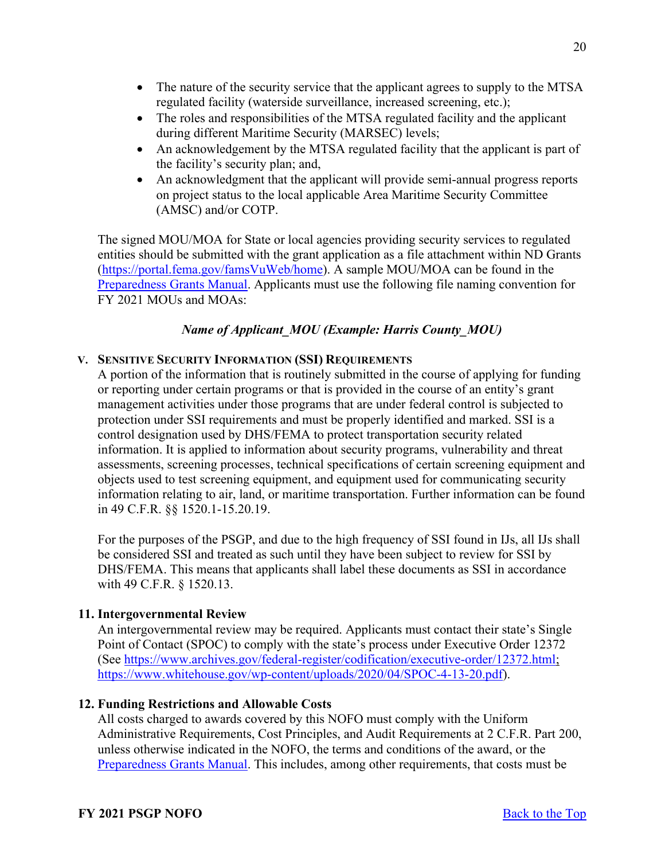- The nature of the security service that the applicant agrees to supply to the MTSA regulated facility (waterside surveillance, increased screening, etc.);
- The roles and responsibilities of the MTSA regulated facility and the applicant during different Maritime Security (MARSEC) levels;
- An acknowledgement by the MTSA regulated facility that the applicant is part of the facility's security plan; and,
- An acknowledgment that the applicant will provide semi-annual progress reports on project status to the local applicable Area Maritime Security Committee (AMSC) and/or COTP.

The signed MOU/MOA for State or local agencies providing security services to regulated entities should be submitted with the grant application as a file attachment within ND Grants [\(https://portal.fema.gov/famsVuWeb/home\)](https://portal.fema.gov/famsVuWeb/home). A sample MOU/MOA can be found in the [Preparedness Grants Manual.](https://www.fema.gov/media-library/assets/documents/178291) Applicants must use the following file naming convention for FY 2021 MOUs and MOAs:

# *Name of Applicant\_MOU (Example: Harris County\_MOU)*

# **V. SENSITIVE SECURITY INFORMATION (SSI) REQUIREMENTS**

A portion of the information that is routinely submitted in the course of applying for funding or reporting under certain programs or that is provided in the course of an entity's grant management activities under those programs that are under federal control is subjected to protection under SSI requirements and must be properly identified and marked. SSI is a control designation used by DHS/FEMA to protect transportation security related information. It is applied to information about security programs, vulnerability and threat assessments, screening processes, technical specifications of certain screening equipment and objects used to test screening equipment, and equipment used for communicating security information relating to air, land, or maritime transportation. Further information can be found in 49 C.F.R. §§ 1520.1-15.20.19.

For the purposes of the PSGP, and due to the high frequency of SSI found in IJs, all IJs shall be considered SSI and treated as such until they have been subject to review for SSI by DHS/FEMA. This means that applicants shall label these documents as SSI in accordance with 49 C.F.R. § 1520.13.

### <span id="page-19-0"></span>**11. Intergovernmental Review**

An intergovernmental review may be required. Applicants must contact their state's Single Point of Contact (SPOC) to comply with the state's process under Executive Order 12372 (See [https://www.archives.gov/federal-register/codification/executive-order/12372.html;](https://www.archives.gov/federal-register/codification/executive-order/12372.html) [https://www.whitehouse.gov/wp-content/uploads/2020/04/SPOC-4-13-20.pdf\)](https://www.whitehouse.gov/wp-content/uploads/2020/04/SPOC-4-13-20.pdf).

### <span id="page-19-1"></span>**12. Funding Restrictions and Allowable Costs**

All costs charged to awards covered by this NOFO must comply with the Uniform Administrative Requirements, Cost Principles, and Audit Requirements at 2 C.F.R. Part 200, unless otherwise indicated in the NOFO, the terms and conditions of the award, or the [Preparedness Grants Manual.](https://www.fema.gov/media-library/assets/documents/178291) This includes, among other requirements, that costs must be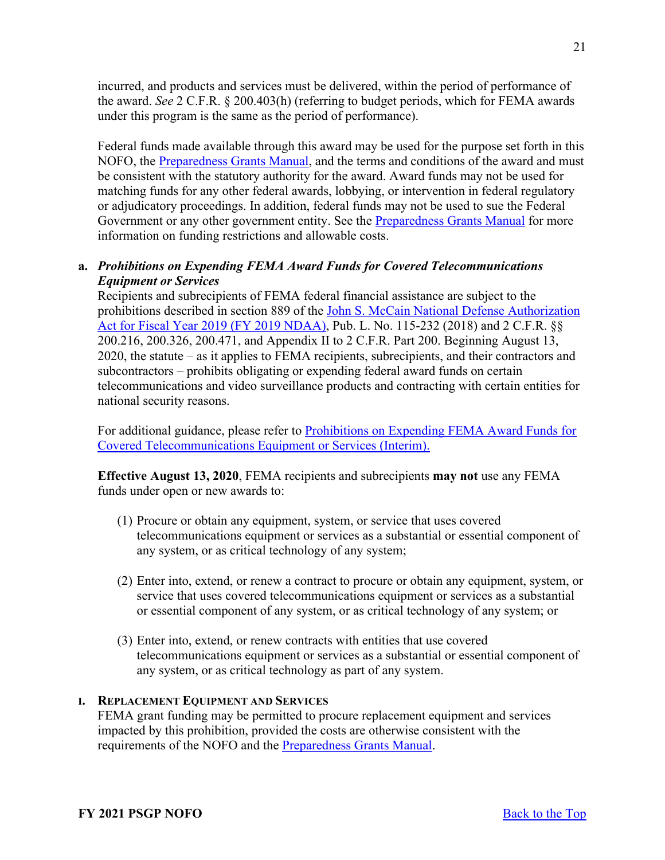incurred, and products and services must be delivered, within the period of performance of the award. *See* 2 C.F.R. § 200.403(h) (referring to budget periods, which for FEMA awards under this program is the same as the period of performance).

Federal funds made available through this award may be used for the purpose set forth in this NOFO, the [Preparedness Grants Manual,](https://www.fema.gov/media-library/assets/documents/178291) and the terms and conditions of the award and must be consistent with the statutory authority for the award. Award funds may not be used for matching funds for any other federal awards, lobbying, or intervention in federal regulatory or adjudicatory proceedings. In addition, federal funds may not be used to sue the Federal Government or any other government entity. See the [Preparedness Grants Manual](https://www.fema.gov/media-library/assets/documents/178291) for more information on funding restrictions and allowable costs.

# **a.** *Prohibitions on Expending FEMA Award Funds for Covered Telecommunications Equipment or Services*

Recipients and subrecipients of FEMA federal financial assistance are subject to the prohibitions described in section 889 of the [John S. McCain National Defense Authorization](https://www.congress.gov/bill/115th-congress/house-bill/5515/text?format=txt)  [Act for Fiscal Year 2019 \(FY 2019 NDAA\),](https://www.congress.gov/bill/115th-congress/house-bill/5515/text?format=txt) Pub. L. No. 115-232 (2018) and 2 C.F.R. §§ 200.216, 200.326, 200.471, and Appendix II to 2 C.F.R. Part 200. Beginning August 13, 2020, the statute – as it applies to FEMA recipients, subrecipients, and their contractors and subcontractors – prohibits obligating or expending federal award funds on certain telecommunications and video surveillance products and contracting with certain entities for national security reasons.

For additional guidance, please refer to [Prohibitions on Expending FEMA Award Funds for](https://www.fema.gov/sites/default/files/documents/fema_prohibitions-expending-fema-award-funds-covered-telecommunications-equipment-services.pdf)  [Covered Telecommunications Equipment or Services \(Interim\).](https://www.fema.gov/sites/default/files/documents/fema_prohibitions-expending-fema-award-funds-covered-telecommunications-equipment-services.pdf) 

**Effective August 13, 2020**, FEMA recipients and subrecipients **may not** use any FEMA funds under open or new awards to:

- (1) Procure or obtain any equipment, system, or service that uses covered telecommunications equipment or services as a substantial or essential component of any system, or as critical technology of any system;
- (2) Enter into, extend, or renew a contract to procure or obtain any equipment, system, or service that uses covered telecommunications equipment or services as a substantial or essential component of any system, or as critical technology of any system; or
- (3) Enter into, extend, or renew contracts with entities that use covered telecommunications equipment or services as a substantial or essential component of any system, or as critical technology as part of any system.

# **I. REPLACEMENT EQUIPMENT AND SERVICES**

FEMA grant funding may be permitted to procure replacement equipment and services impacted by this prohibition, provided the costs are otherwise consistent with the requirements of the NOFO and the [Preparedness Grants Manual.](https://www.fema.gov/media-library/assets/documents/178291)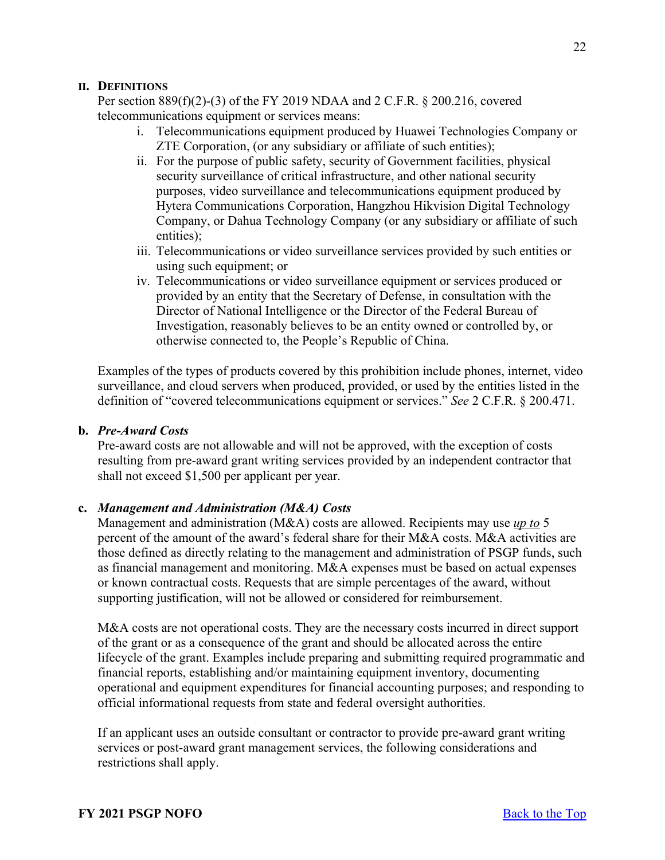#### **II. DEFINITIONS**

Per section 889(f)(2)-(3) of the FY 2019 NDAA and 2 C.F.R. § 200.216, covered telecommunications equipment or services means:

- i. Telecommunications equipment produced by Huawei Technologies Company or ZTE Corporation, (or any subsidiary or affiliate of such entities);
- ii. For the purpose of public safety, security of Government facilities, physical security surveillance of critical infrastructure, and other national security purposes, video surveillance and telecommunications equipment produced by Hytera Communications Corporation, Hangzhou Hikvision Digital Technology Company, or Dahua Technology Company (or any subsidiary or affiliate of such entities);
- iii. Telecommunications or video surveillance services provided by such entities or using such equipment; or
- iv. Telecommunications or video surveillance equipment or services produced or provided by an entity that the Secretary of Defense, in consultation with the Director of National Intelligence or the Director of the Federal Bureau of Investigation, reasonably believes to be an entity owned or controlled by, or otherwise connected to, the People's Republic of China.

Examples of the types of products covered by this prohibition include phones, internet, video surveillance, and cloud servers when produced, provided, or used by the entities listed in the definition of "covered telecommunications equipment or services." *See* 2 C.F.R. § 200.471.

#### **b.** *Pre-Award Costs*

Pre-award costs are not allowable and will not be approved, with the exception of costs resulting from pre-award grant writing services provided by an independent contractor that shall not exceed \$1,500 per applicant per year.

#### **c.** *Management and Administration (M&A) Costs*

Management and administration (M&A) costs are allowed. Recipients may use *up to* 5 percent of the amount of the award's federal share for their M&A costs. M&A activities are those defined as directly relating to the management and administration of PSGP funds, such as financial management and monitoring. M&A expenses must be based on actual expenses or known contractual costs. Requests that are simple percentages of the award, without supporting justification, will not be allowed or considered for reimbursement.

M&A costs are not operational costs. They are the necessary costs incurred in direct support of the grant or as a consequence of the grant and should be allocated across the entire lifecycle of the grant. Examples include preparing and submitting required programmatic and financial reports, establishing and/or maintaining equipment inventory, documenting operational and equipment expenditures for financial accounting purposes; and responding to official informational requests from state and federal oversight authorities.

If an applicant uses an outside consultant or contractor to provide pre-award grant writing services or post-award grant management services, the following considerations and restrictions shall apply.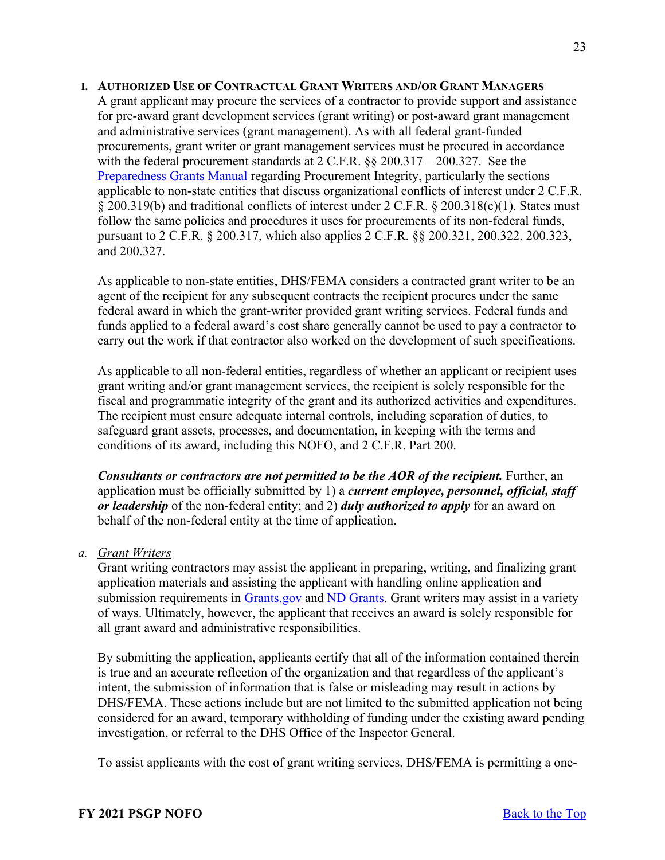#### **I. AUTHORIZED USE OF CONTRACTUAL GRANT WRITERS AND/OR GRANT MANAGERS**

A grant applicant may procure the services of a contractor to provide support and assistance for pre-award grant development services (grant writing) or post-award grant management and administrative services (grant management). As with all federal grant-funded procurements, grant writer or grant management services must be procured in accordance with the federal procurement standards at  $2 \text{ C.F.R.}$  §§  $200.317 - 200.327$ . See the [Preparedness Grants Manual](https://www.fema.gov/media-library/assets/documents/178291) regarding Procurement Integrity, particularly the sections applicable to non-state entities that discuss organizational conflicts of interest under 2 C.F.R. § 200.319(b) and traditional conflicts of interest under 2 C.F.R. § 200.318(c)(1). States must follow the same policies and procedures it uses for procurements of its non-federal funds, pursuant to 2 C.F.R. § 200.317, which also applies 2 C.F.R. §§ 200.321, 200.322, 200.323, and 200.327.

As applicable to non-state entities, DHS/FEMA considers a contracted grant writer to be an agent of the recipient for any subsequent contracts the recipient procures under the same federal award in which the grant-writer provided grant writing services. Federal funds and funds applied to a federal award's cost share generally cannot be used to pay a contractor to carry out the work if that contractor also worked on the development of such specifications.

As applicable to all non-federal entities, regardless of whether an applicant or recipient uses grant writing and/or grant management services, the recipient is solely responsible for the fiscal and programmatic integrity of the grant and its authorized activities and expenditures. The recipient must ensure adequate internal controls, including separation of duties, to safeguard grant assets, processes, and documentation, in keeping with the terms and conditions of its award, including this NOFO, and 2 C.F.R. Part 200.

*Consultants or contractors are not permitted to be the AOR of the recipient.* **Further, an** application must be officially submitted by 1) a *current employee, personnel, official, staff or leadership* of the non-federal entity; and 2) *duly authorized to apply* for an award on behalf of the non-federal entity at the time of application.

### *a. Grant Writers*

Grant writing contractors may assist the applicant in preparing, writing, and finalizing grant application materials and assisting the applicant with handling online application and submission requirements in [Grants.gov](http://www.grants.gov/) and [ND Grants.](https://portal.fema.gov/famsVuWeb/home) Grant writers may assist in a variety of ways. Ultimately, however, the applicant that receives an award is solely responsible for all grant award and administrative responsibilities.

By submitting the application, applicants certify that all of the information contained therein is true and an accurate reflection of the organization and that regardless of the applicant's intent, the submission of information that is false or misleading may result in actions by DHS/FEMA. These actions include but are not limited to the submitted application not being considered for an award, temporary withholding of funding under the existing award pending investigation, or referral to the DHS Office of the Inspector General.

To assist applicants with the cost of grant writing services, DHS/FEMA is permitting a one-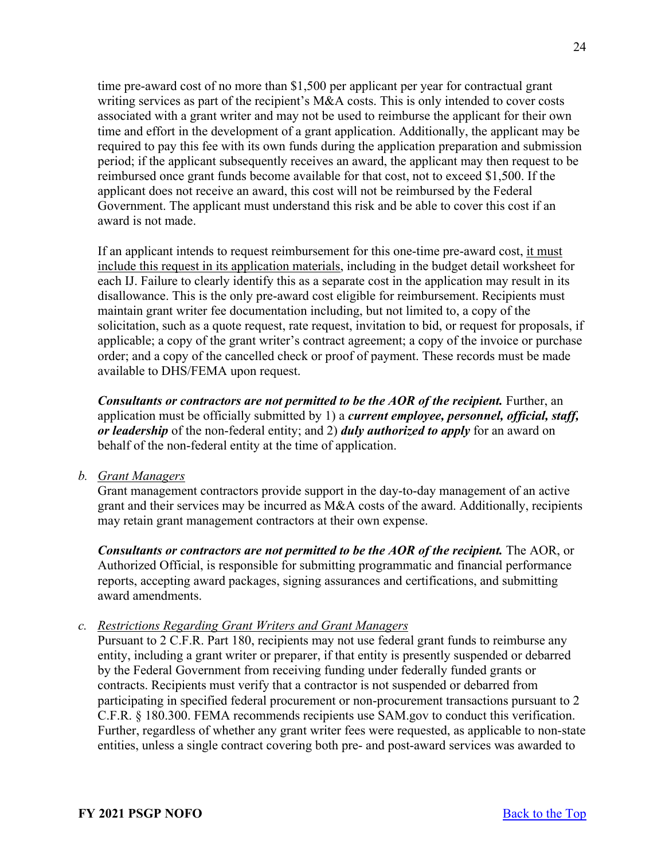time pre-award cost of no more than \$1,500 per applicant per year for contractual grant writing services as part of the recipient's M&A costs. This is only intended to cover costs associated with a grant writer and may not be used to reimburse the applicant for their own time and effort in the development of a grant application. Additionally, the applicant may be required to pay this fee with its own funds during the application preparation and submission period; if the applicant subsequently receives an award, the applicant may then request to be reimbursed once grant funds become available for that cost, not to exceed \$1,500. If the applicant does not receive an award, this cost will not be reimbursed by the Federal Government. The applicant must understand this risk and be able to cover this cost if an award is not made.

If an applicant intends to request reimbursement for this one-time pre-award cost, it must include this request in its application materials, including in the budget detail worksheet for each IJ. Failure to clearly identify this as a separate cost in the application may result in its disallowance. This is the only pre-award cost eligible for reimbursement. Recipients must maintain grant writer fee documentation including, but not limited to, a copy of the solicitation, such as a quote request, rate request, invitation to bid, or request for proposals, if applicable; a copy of the grant writer's contract agreement; a copy of the invoice or purchase order; and a copy of the cancelled check or proof of payment. These records must be made available to DHS/FEMA upon request.

*Consultants or contractors are not permitted to be the AOR of the recipient.* **Further, an** application must be officially submitted by 1) a *current employee, personnel, official, staff, or leadership* of the non-federal entity; and 2) *duly authorized to apply* for an award on behalf of the non-federal entity at the time of application.

*b. Grant Managers*

Grant management contractors provide support in the day-to-day management of an active grant and their services may be incurred as M&A costs of the award. Additionally, recipients may retain grant management contractors at their own expense.

*Consultants or contractors are not permitted to be the AOR of the recipient.* The AOR, or Authorized Official, is responsible for submitting programmatic and financial performance reports, accepting award packages, signing assurances and certifications, and submitting award amendments.

*c. Restrictions Regarding Grant Writers and Grant Managers* 

Pursuant to 2 C.F.R. Part 180, recipients may not use federal grant funds to reimburse any entity, including a grant writer or preparer, if that entity is presently suspended or debarred by the Federal Government from receiving funding under federally funded grants or contracts. Recipients must verify that a contractor is not suspended or debarred from participating in specified federal procurement or non-procurement transactions pursuant to 2 C.F.R. § 180.300. FEMA recommends recipients use SAM.gov to conduct this verification. Further, regardless of whether any grant writer fees were requested, as applicable to non-state entities, unless a single contract covering both pre- and post-award services was awarded to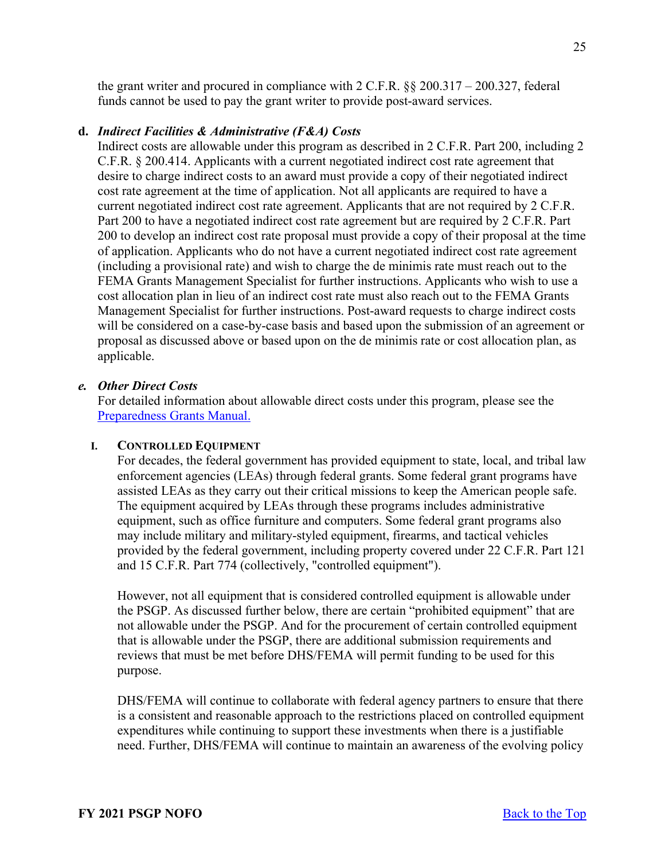the grant writer and procured in compliance with 2 C.F.R. §§ 200.317 – 200.327, federal funds cannot be used to pay the grant writer to provide post-award services.

#### **d.** *Indirect Facilities & Administrative (F&A) Costs*

Indirect costs are allowable under this program as described in 2 C.F.R. Part 200, including 2 C.F.R. § 200.414. Applicants with a current negotiated indirect cost rate agreement that desire to charge indirect costs to an award must provide a copy of their negotiated indirect cost rate agreement at the time of application. Not all applicants are required to have a current negotiated indirect cost rate agreement. Applicants that are not required by 2 C.F.R. Part 200 to have a negotiated indirect cost rate agreement but are required by 2 C.F.R. Part 200 to develop an indirect cost rate proposal must provide a copy of their proposal at the time of application. Applicants who do not have a current negotiated indirect cost rate agreement (including a provisional rate) and wish to charge the de minimis rate must reach out to the FEMA Grants Management Specialist for further instructions. Applicants who wish to use a cost allocation plan in lieu of an indirect cost rate must also reach out to the FEMA Grants Management Specialist for further instructions. Post-award requests to charge indirect costs will be considered on a case-by-case basis and based upon the submission of an agreement or proposal as discussed above or based upon on the de minimis rate or cost allocation plan, as applicable.

#### *e. Other Direct Costs*

For detailed information about allowable direct costs under this program, please see the [Preparedness Grants Manual.](https://www.fema.gov/media-library/assets/documents/178291)

#### **I. CONTROLLED EQUIPMENT**

For decades, the federal government has provided equipment to state, local, and tribal law enforcement agencies (LEAs) through federal grants. Some federal grant programs have assisted LEAs as they carry out their critical missions to keep the American people safe. The equipment acquired by LEAs through these programs includes administrative equipment, such as office furniture and computers. Some federal grant programs also may include military and military-styled equipment, firearms, and tactical vehicles provided by the federal government, including property covered under 22 C.F.R. Part 121 and 15 C.F.R. Part 774 (collectively, "controlled equipment").

However, not all equipment that is considered controlled equipment is allowable under the PSGP. As discussed further below, there are certain "prohibited equipment" that are not allowable under the PSGP. And for the procurement of certain controlled equipment that is allowable under the PSGP, there are additional submission requirements and reviews that must be met before DHS/FEMA will permit funding to be used for this purpose.

DHS/FEMA will continue to collaborate with federal agency partners to ensure that there is a consistent and reasonable approach to the restrictions placed on controlled equipment expenditures while continuing to support these investments when there is a justifiable need. Further, DHS/FEMA will continue to maintain an awareness of the evolving policy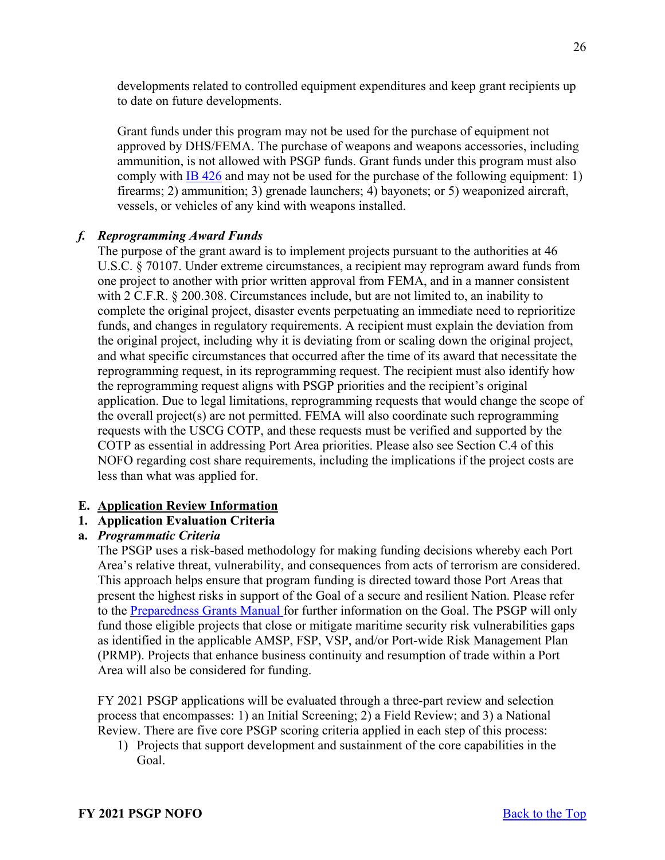developments related to controlled equipment expenditures and keep grant recipients up to date on future developments.

Grant funds under this program may not be used for the purchase of equipment not approved by DHS/FEMA. The purchase of weapons and weapons accessories, including ammunition, is not allowed with PSGP funds. Grant funds under this program must also comply with [IB 426](https://www.fema.gov/sites/default/files/2020-08/ib_426_controlled_equipment_recission__11-1-17.pdf) and may not be used for the purchase of the following equipment: 1) firearms; 2) ammunition; 3) grenade launchers; 4) bayonets; or 5) weaponized aircraft, vessels, or vehicles of any kind with weapons installed.

# *f. Reprogramming Award Funds*

The purpose of the grant award is to implement projects pursuant to the authorities at 46 U.S.C. § 70107. Under extreme circumstances, a recipient may reprogram award funds from one project to another with prior written approval from FEMA, and in a manner consistent with 2 C.F.R. § 200.308. Circumstances include, but are not limited to, an inability to complete the original project, disaster events perpetuating an immediate need to reprioritize funds, and changes in regulatory requirements. A recipient must explain the deviation from the original project, including why it is deviating from or scaling down the original project, and what specific circumstances that occurred after the time of its award that necessitate the reprogramming request, in its reprogramming request. The recipient must also identify how the reprogramming request aligns with PSGP priorities and the recipient's original application. Due to legal limitations, reprogramming requests that would change the scope of the overall project(s) are not permitted. FEMA will also coordinate such reprogramming requests with the USCG COTP, and these requests must be verified and supported by the COTP as essential in addressing Port Area priorities. Please also see Section C.4 of this NOFO regarding cost share requirements, including the implications if the project costs are less than what was applied for.

### <span id="page-25-0"></span>**E. Application Review Information**

### <span id="page-25-1"></span>**1. Application Evaluation Criteria**

### **a.** *Programmatic Criteria*

The PSGP uses a risk-based methodology for making funding decisions whereby each Port Area's relative threat, vulnerability, and consequences from acts of terrorism are considered. This approach helps ensure that program funding is directed toward those Port Areas that present the highest risks in support of the Goal of a secure and resilient Nation. Please refer to the [Preparedness Grants Manual](https://www.fema.gov/media-library/assets/documents/178291) for further information on the Goal. The PSGP will only fund those eligible projects that close or mitigate maritime security risk vulnerabilities gaps as identified in the applicable AMSP, FSP, VSP, and/or Port-wide Risk Management Plan (PRMP). Projects that enhance business continuity and resumption of trade within a Port Area will also be considered for funding.

FY 2021 PSGP applications will be evaluated through a three-part review and selection process that encompasses: 1) an Initial Screening; 2) a Field Review; and 3) a National Review. There are five core PSGP scoring criteria applied in each step of this process:

1) Projects that support development and sustainment of the core capabilities in the Goal.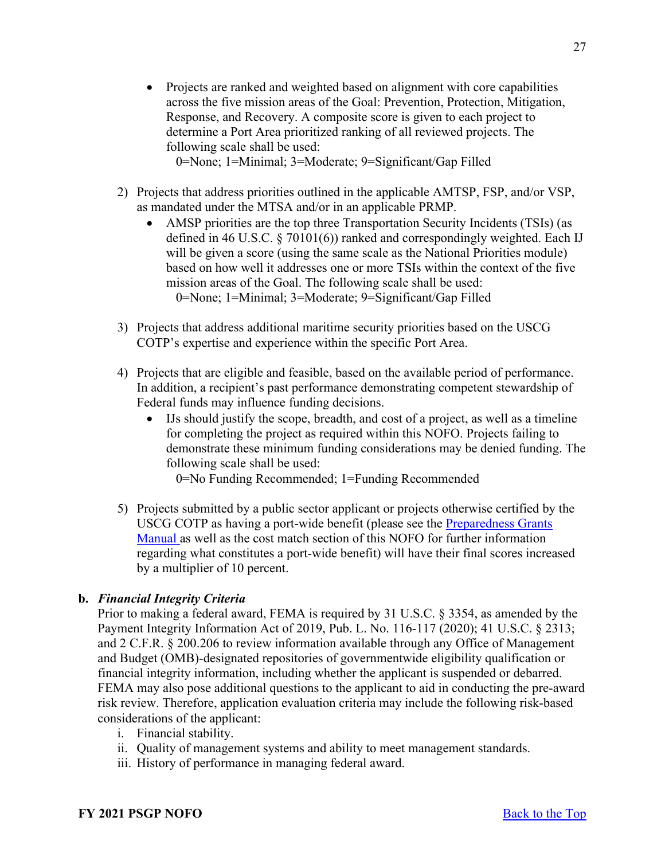• Projects are ranked and weighted based on alignment with core capabilities across the five mission areas of the Goal: Prevention, Protection, Mitigation, Response, and Recovery. A composite score is given to each project to determine a Port Area prioritized ranking of all reviewed projects. The following scale shall be used:

0=None; 1=Minimal; 3=Moderate; 9=Significant/Gap Filled

- 2) Projects that address priorities outlined in the applicable AMTSP, FSP, and/or VSP, as mandated under the MTSA and/or in an applicable PRMP.
	- AMSP priorities are the top three Transportation Security Incidents (TSIs) (as defined in 46 U.S.C. § 70101(6)) ranked and correspondingly weighted. Each IJ will be given a score (using the same scale as the National Priorities module) based on how well it addresses one or more TSIs within the context of the five mission areas of the Goal. The following scale shall be used: 0=None; 1=Minimal; 3=Moderate; 9=Significant/Gap Filled
- 3) Projects that address additional maritime security priorities based on the USCG COTP's expertise and experience within the specific Port Area.
- 4) Projects that are eligible and feasible, based on the available period of performance. In addition, a recipient's past performance demonstrating competent stewardship of Federal funds may influence funding decisions.
	- IJs should justify the scope, breadth, and cost of a project, as well as a timeline for completing the project as required within this NOFO. Projects failing to demonstrate these minimum funding considerations may be denied funding. The following scale shall be used:

0=No Funding Recommended; 1=Funding Recommended

5) Projects submitted by a public sector applicant or projects otherwise certified by the USCG COTP as having a port-wide benefit (please see the [Preparedness Grants](https://www.fema.gov/media-library/assets/documents/178291)  [Manual](https://www.fema.gov/media-library/assets/documents/178291) as well as the cost match section of this NOFO for further information regarding what constitutes a port-wide benefit) will have their final scores increased by a multiplier of 10 percent.

# **b.** *Financial Integrity Criteria*

Prior to making a federal award, FEMA is required by 31 U.S.C. § 3354, as amended by the Payment Integrity Information Act of 2019, Pub. L. No. 116-117 (2020); 41 U.S.C. § 2313; and 2 C.F.R. § 200.206 to review information available through any Office of Management and Budget (OMB)-designated repositories of governmentwide eligibility qualification or financial integrity information, including whether the applicant is suspended or debarred. FEMA may also pose additional questions to the applicant to aid in conducting the pre-award risk review. Therefore, application evaluation criteria may include the following risk-based considerations of the applicant:

- i. Financial stability.
- ii. Quality of management systems and ability to meet management standards.
- iii. History of performance in managing federal award.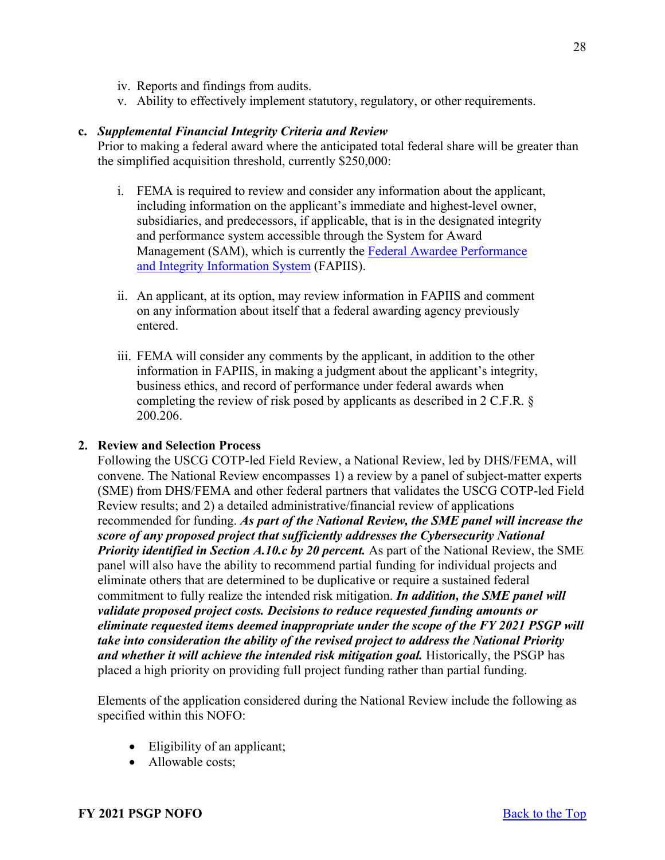- iv. Reports and findings from audits.
- v. Ability to effectively implement statutory, regulatory, or other requirements.

#### **c.** *Supplemental Financial Integrity Criteria and Review*

Prior to making a federal award where the anticipated total federal share will be greater than the simplified acquisition threshold, currently \$250,000:

- i. FEMA is required to review and consider any information about the applicant, including information on the applicant's immediate and highest-level owner, subsidiaries, and predecessors, if applicable, that is in the designated integrity and performance system accessible through the System for Award Management (SAM), which is currently the [Federal Awardee Performance](https://www.fapiis.gov/fapiis/index.action)  [and Integrity Information System](https://www.fapiis.gov/fapiis/index.action) (FAPIIS).
- ii. An applicant, at its option, may review information in FAPIIS and comment on any information about itself that a federal awarding agency previously entered.
- iii. FEMA will consider any comments by the applicant, in addition to the other information in FAPIIS, in making a judgment about the applicant's integrity, business ethics, and record of performance under federal awards when completing the review of risk posed by applicants as described in 2 C.F.R. § 200.206.

#### <span id="page-27-0"></span>**2. Review and Selection Process**

Following the USCG COTP-led Field Review, a National Review, led by DHS/FEMA, will convene. The National Review encompasses 1) a review by a panel of subject-matter experts (SME) from DHS/FEMA and other federal partners that validates the USCG COTP-led Field Review results; and 2) a detailed administrative/financial review of applications recommended for funding. *As part of the National Review, the SME panel will increase the score of any proposed project that sufficiently addresses the Cybersecurity National Priority identified in Section A.10.c by 20 percent.* As part of the National Review, the SME panel will also have the ability to recommend partial funding for individual projects and eliminate others that are determined to be duplicative or require a sustained federal commitment to fully realize the intended risk mitigation. *In addition, the SME panel will validate proposed project costs. Decisions to reduce requested funding amounts or eliminate requested items deemed inappropriate under the scope of the FY 2021 PSGP will take into consideration the ability of the revised project to address the National Priority and whether it will achieve the intended risk mitigation goal.* Historically, the PSGP has placed a high priority on providing full project funding rather than partial funding.

Elements of the application considered during the National Review include the following as specified within this NOFO:

- Eligibility of an applicant;
- Allowable costs: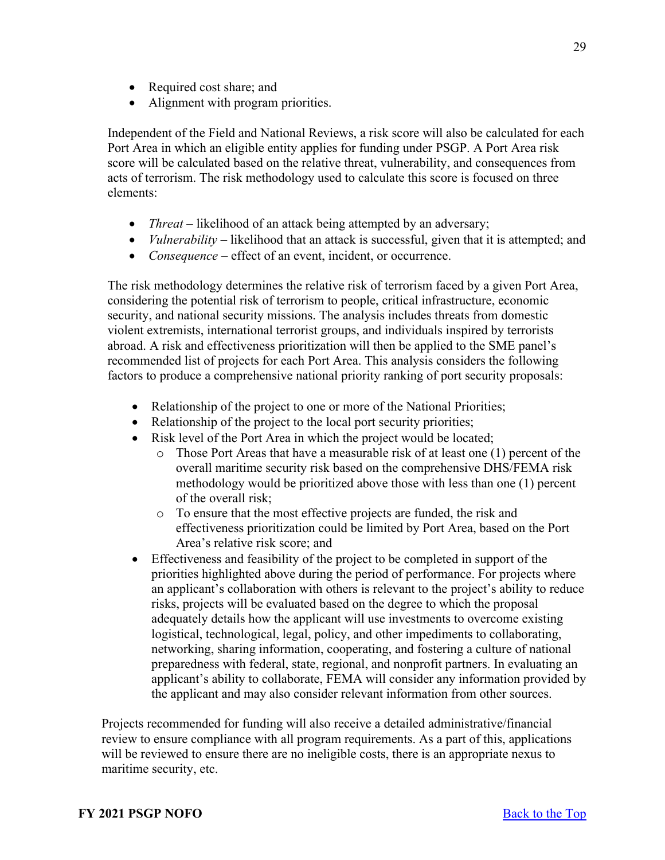- Required cost share; and
- Alignment with program priorities.

Independent of the Field and National Reviews, a risk score will also be calculated for each Port Area in which an eligible entity applies for funding under PSGP. A Port Area risk score will be calculated based on the relative threat, vulnerability, and consequences from acts of terrorism. The risk methodology used to calculate this score is focused on three elements:

- *Threat* likelihood of an attack being attempted by an adversary;
- *Vulnerability* likelihood that an attack is successful, given that it is attempted; and
- *Consequence* effect of an event, incident, or occurrence.

The risk methodology determines the relative risk of terrorism faced by a given Port Area, considering the potential risk of terrorism to people, critical infrastructure, economic security, and national security missions. The analysis includes threats from domestic violent extremists, international terrorist groups, and individuals inspired by terrorists abroad. A risk and effectiveness prioritization will then be applied to the SME panel's recommended list of projects for each Port Area. This analysis considers the following factors to produce a comprehensive national priority ranking of port security proposals:

- Relationship of the project to one or more of the National Priorities;
- Relationship of the project to the local port security priorities;
- Risk level of the Port Area in which the project would be located;
	- o Those Port Areas that have a measurable risk of at least one (1) percent of the overall maritime security risk based on the comprehensive DHS/FEMA risk methodology would be prioritized above those with less than one (1) percent of the overall risk;
	- o To ensure that the most effective projects are funded, the risk and effectiveness prioritization could be limited by Port Area, based on the Port Area's relative risk score; and
- Effectiveness and feasibility of the project to be completed in support of the priorities highlighted above during the period of performance. For projects where an applicant's collaboration with others is relevant to the project's ability to reduce risks, projects will be evaluated based on the degree to which the proposal adequately details how the applicant will use investments to overcome existing logistical, technological, legal, policy, and other impediments to collaborating, networking, sharing information, cooperating, and fostering a culture of national preparedness with federal, state, regional, and nonprofit partners. In evaluating an applicant's ability to collaborate, FEMA will consider any information provided by the applicant and may also consider relevant information from other sources.

Projects recommended for funding will also receive a detailed administrative/financial review to ensure compliance with all program requirements. As a part of this, applications will be reviewed to ensure there are no ineligible costs, there is an appropriate nexus to maritime security, etc.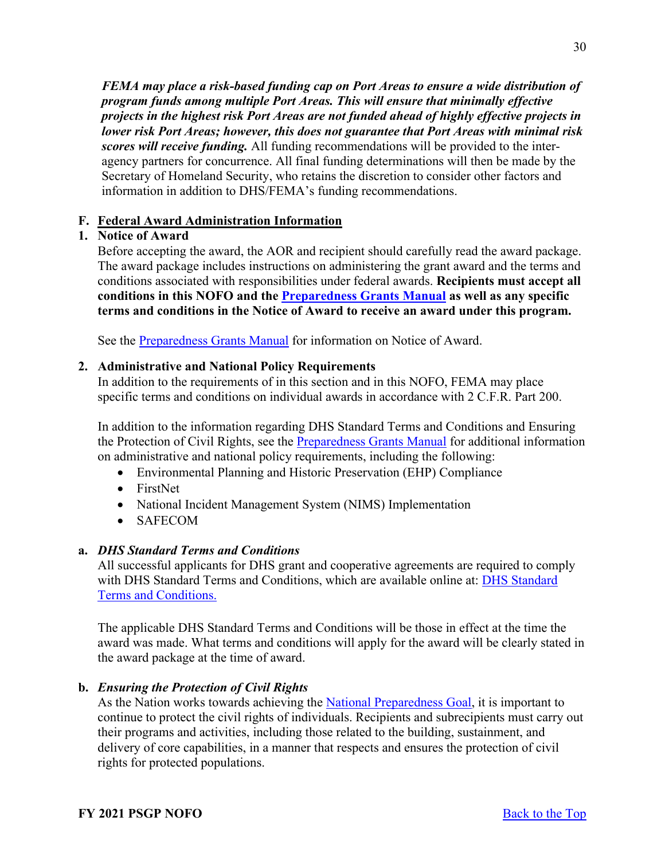*FEMA may place a risk-based funding cap on Port Areas to ensure a wide distribution of program funds among multiple Port Areas. This will ensure that minimally effective projects in the highest risk Port Areas are not funded ahead of highly effective projects in lower risk Port Areas; however, this does not guarantee that Port Areas with minimal risk scores will receive funding.* All funding recommendations will be provided to the interagency partners for concurrence. All final funding determinations will then be made by the Secretary of Homeland Security, who retains the discretion to consider other factors and information in addition to DHS/FEMA's funding recommendations.

### <span id="page-29-0"></span>**F. Federal Award Administration Information**

### <span id="page-29-1"></span>**1. Notice of Award**

Before accepting the award, the AOR and recipient should carefully read the award package. The award package includes instructions on administering the grant award and the terms and conditions associated with responsibilities under federal awards. **Recipients must accept all conditions in this NOFO and the [Preparedness Grants Manual](https://www.fema.gov/media-library/assets/documents/178291) as well as any specific terms and conditions in the Notice of Award to receive an award under this program.**

See the [Preparedness Grants Manual](https://www.fema.gov/media-library/assets/documents/178291) for information on Notice of Award.

#### <span id="page-29-2"></span>**2. Administrative and National Policy Requirements**

In addition to the requirements of in this section and in this NOFO, FEMA may place specific terms and conditions on individual awards in accordance with 2 C.F.R. Part 200.

In addition to the information regarding DHS Standard Terms and Conditions and Ensuring the Protection of Civil Rights, see the [Preparedness Grants Manual](https://www.fema.gov/media-library/assets/documents/178291) for additional information on administrative and national policy requirements, including the following:

- Environmental Planning and Historic Preservation (EHP) Compliance
- FirstNet
- National Incident Management System (NIMS) Implementation
- SAFECOM

## **a.** *DHS Standard Terms and Conditions*

All successful applicants for DHS grant and cooperative agreements are required to comply with [DHS Standard](http://www.dhs.gov/publication/fy15-dhs-standard-terms-and-conditions) Terms and Conditions, which are available online at: DHS Standard [Terms and Conditions.](http://www.dhs.gov/publication/fy15-dhs-standard-terms-and-conditions)

The applicable DHS Standard Terms and Conditions will be those in effect at the time the award was made. What terms and conditions will apply for the award will be clearly stated in the award package at the time of award.

### **b.** *Ensuring the Protection of Civil Rights*

As the Nation works towards achieving the [National Preparedness Goal,](https://www.fema.gov/national-preparedness-goal) it is important to continue to protect the civil rights of individuals. Recipients and subrecipients must carry out their programs and activities, including those related to the building, sustainment, and delivery of core capabilities, in a manner that respects and ensures the protection of civil rights for protected populations.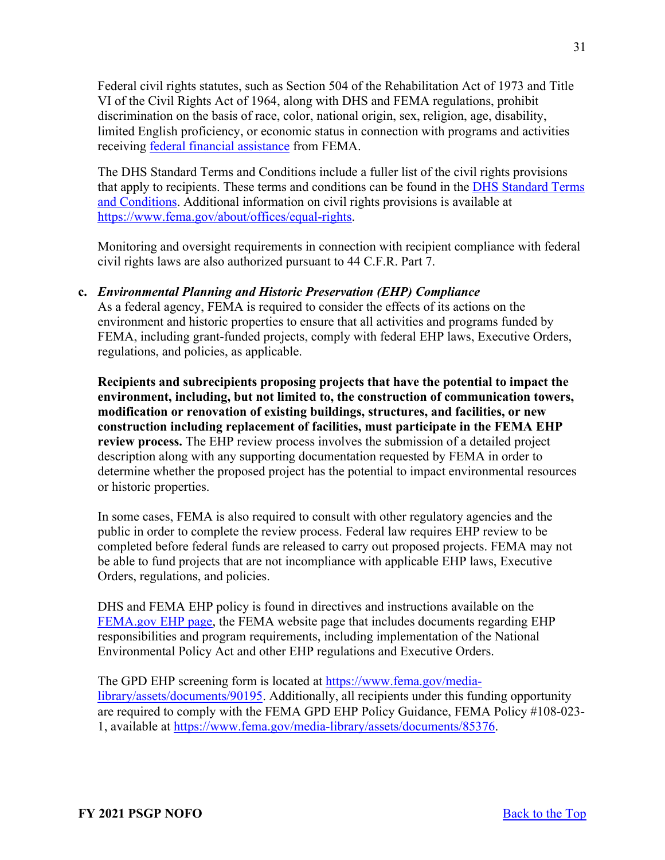Federal civil rights statutes, such as Section 504 of the Rehabilitation Act of 1973 and Title VI of the Civil Rights Act of 1964, along with DHS and FEMA regulations, prohibit discrimination on the basis of race, color, national origin, sex, religion, age, disability, limited English proficiency, or economic status in connection with programs and activities receiving [federal financial assistance](https://www.ecfr.gov/cgi-bin/text-idx?SID=5e41f4d1a74f253d602c5a7fdc4fc2d8&mc=true&node=se44.1.7_1913&rgn=div8) from FEMA.

The DHS Standard Terms and Conditions include a fuller list of the civil rights provisions that apply to recipients. These terms and conditions can be found in the [DHS Standard Terms](https://www.dhs.gov/publication/fy15-dhs-standard-terms-and-conditions)  [and Conditions.](https://www.dhs.gov/publication/fy15-dhs-standard-terms-and-conditions) Additional information on civil rights provisions is available at [https://www.fema.gov/about/offices/equal-rights.](https://www.fema.gov/about/offices/equal-rights)

Monitoring and oversight requirements in connection with recipient compliance with federal civil rights laws are also authorized pursuant to 44 C.F.R. Part 7.

# **c.** *Environmental Planning and Historic Preservation (EHP) Compliance*

As a federal agency, FEMA is required to consider the effects of its actions on the environment and historic properties to ensure that all activities and programs funded by FEMA, including grant-funded projects, comply with federal EHP laws, Executive Orders, regulations, and policies, as applicable.

**Recipients and subrecipients proposing projects that have the potential to impact the environment, including, but not limited to, the construction of communication towers, modification or renovation of existing buildings, structures, and facilities, or new construction including replacement of facilities, must participate in the FEMA EHP review process.** The EHP review process involves the submission of a detailed project description along with any supporting documentation requested by FEMA in order to determine whether the proposed project has the potential to impact environmental resources or historic properties.

In some cases, FEMA is also required to consult with other regulatory agencies and the public in order to complete the review process. Federal law requires EHP review to be completed before federal funds are released to carry out proposed projects. FEMA may not be able to fund projects that are not incompliance with applicable EHP laws, Executive Orders, regulations, and policies.

DHS and FEMA EHP policy is found in directives and instructions available on the [FEMA.gov EHP page,](https://www.fema.gov/emergency-managers/practitioners/environmental-historic/laws) the FEMA website page that includes documents regarding EHP responsibilities and program requirements, including implementation of the National Environmental Policy Act and other EHP regulations and Executive Orders.

The GPD EHP screening form is located at [https://www.fema.gov/media](https://www.fema.gov/media-library/assets/documents/90195)[library/assets/documents/90195.](https://www.fema.gov/media-library/assets/documents/90195) Additionally, all recipients under this funding opportunity are required to comply with the FEMA GPD EHP Policy Guidance, FEMA Policy #108-023- 1, available at [https://www.fema.gov/media-library/assets/documents/85376.](https://www.fema.gov/media-library/assets/documents/85376)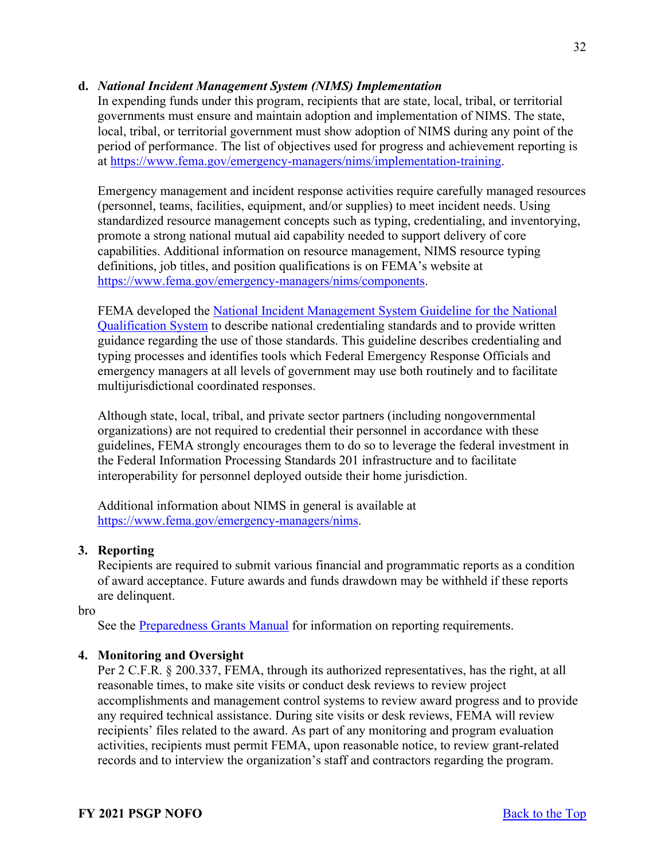## **d.** *National Incident Management System (NIMS) Implementation*

In expending funds under this program, recipients that are state, local, tribal, or territorial governments must ensure and maintain adoption and implementation of NIMS. The state, local, tribal, or territorial government must show adoption of NIMS during any point of the period of performance. The list of objectives used for progress and achievement reporting is at [https://www.fema.gov/emergency-managers/nims/implementation-training.](https://www.fema.gov/emergency-managers/nims/implementation-training)

Emergency management and incident response activities require carefully managed resources (personnel, teams, facilities, equipment, and/or supplies) to meet incident needs. Using standardized resource management concepts such as typing, credentialing, and inventorying, promote a strong national mutual aid capability needed to support delivery of core capabilities. Additional information on resource management, NIMS resource typing definitions, job titles, and position qualifications is on FEMA's website at [https://www.fema.gov/emergency-managers/nims/components.](https://www.fema.gov/emergency-managers/nims/components)

FEMA developed the [National Incident Management System Guideline for the National](https://www.fema.gov/sites/default/files/2020-05/fema_nims_nqs_guideline_0.pdf)  [Qualification System](https://www.fema.gov/sites/default/files/2020-05/fema_nims_nqs_guideline_0.pdf) to describe national credentialing standards and to provide written guidance regarding the use of those standards. This guideline describes credentialing and typing processes and identifies tools which Federal Emergency Response Officials and emergency managers at all levels of government may use both routinely and to facilitate multijurisdictional coordinated responses.

Although state, local, tribal, and private sector partners (including nongovernmental organizations) are not required to credential their personnel in accordance with these guidelines, FEMA strongly encourages them to do so to leverage the federal investment in the Federal Information Processing Standards 201 infrastructure and to facilitate interoperability for personnel deployed outside their home jurisdiction.

Additional information about NIMS in general is available at [https://www.fema.gov/emergency-managers/nims.](https://www.fema.gov/emergency-managers/nims)

# <span id="page-31-0"></span>**3. Reporting**

Recipients are required to submit various financial and programmatic reports as a condition of award acceptance. Future awards and funds drawdown may be withheld if these reports are delinquent.

#### bro

See the [Preparedness Grants Manual](https://www.fema.gov/media-library/assets/documents/178291) for information on reporting requirements.

### <span id="page-31-1"></span>**4. Monitoring and Oversight**

Per 2 C.F.R. § 200.337, FEMA, through its authorized representatives, has the right, at all reasonable times, to make site visits or conduct desk reviews to review project accomplishments and management control systems to review award progress and to provide any required technical assistance. During site visits or desk reviews, FEMA will review recipients' files related to the award. As part of any monitoring and program evaluation activities, recipients must permit FEMA, upon reasonable notice, to review grant-related records and to interview the organization's staff and contractors regarding the program.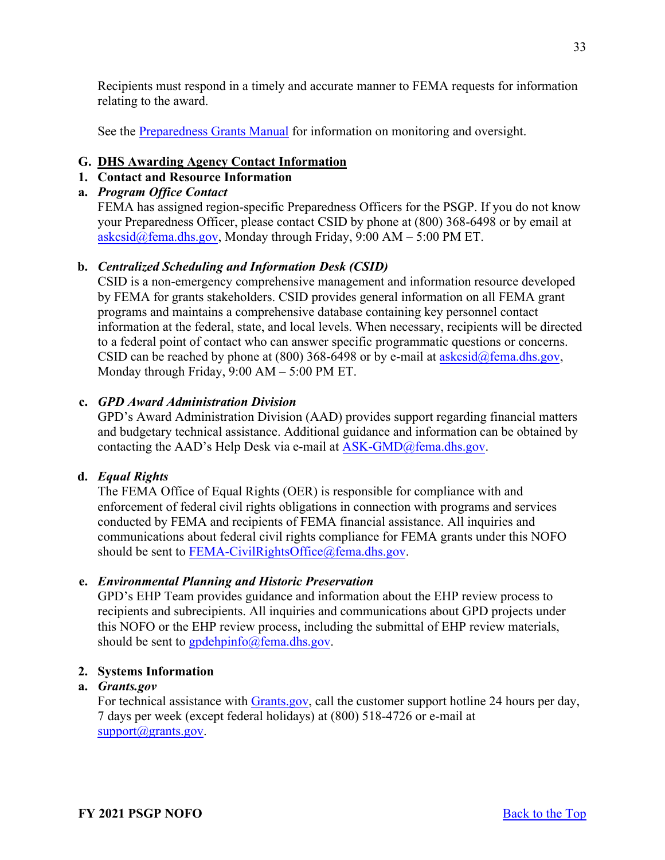Recipients must respond in a timely and accurate manner to FEMA requests for information relating to the award.

See the [Preparedness Grants Manual](https://www.fema.gov/media-library/assets/documents/178291) for information on monitoring and oversight.

# <span id="page-32-0"></span>**G. DHS Awarding Agency Contact Information**

# <span id="page-32-1"></span>**1. Contact and Resource Information**

# **a.** *Program Office Contact*

FEMA has assigned region-specific Preparedness Officers for the PSGP. If you do not know your Preparedness Officer, please contact CSID by phone at (800) 368-6498 or by email at  $a$ skcsid@fema.dhs.gov, Monday through Friday, 9:00 AM – 5:00 PM ET.

# **b.** *Centralized Scheduling and Information Desk (CSID)*

CSID is a non-emergency comprehensive management and information resource developed by FEMA for grants stakeholders. CSID provides general information on all FEMA grant programs and maintains a comprehensive database containing key personnel contact information at the federal, state, and local levels. When necessary, recipients will be directed to a federal point of contact who can answer specific programmatic questions or concerns. CSID can be reached by phone at (800) 368-6498 or by e-mail at  $askcsid@fema.dhs.gov$ , Monday through Friday, 9:00 AM – 5:00 PM ET.

# **c.** *GPD Award Administration Division*

GPD's Award Administration Division (AAD) provides support regarding financial matters and budgetary technical assistance. Additional guidance and information can be obtained by contacting the AAD's Help Desk via e-mail a[t ASK-GMD@fema.dhs.gov.](mailto:ASK-GMD@fema.dhs.gov)

### **d.** *Equal Rights*

The FEMA Office of Equal Rights (OER) is responsible for compliance with and enforcement of federal civil rights obligations in connection with programs and services conducted by FEMA and recipients of FEMA financial assistance. All inquiries and communications about federal civil rights compliance for FEMA grants under this NOFO should be sent to [FEMA-CivilRightsOffice@fema.dhs.gov.](mailto:FEMA-CivilRightsOffice@fema.dhs.gov)

### **e.** *Environmental Planning and Historic Preservation*

GPD's EHP Team provides guidance and information about the EHP review process to recipients and subrecipients. All inquiries and communications about GPD projects under this NOFO or the EHP review process, including the submittal of EHP review materials, should be sent to  $\frac{\text{gpdehpinfo}}{\text{gpmfo}}$  ( $\frac{\text{gpmeln_3}}{\text{gpmof}}$ ).

# <span id="page-32-2"></span>**2. Systems Information**

# **a.** *Grants.gov*

For technical assistance with [Grants.gov,](https://www.grants.gov/forms/sf-424-family.html) call the customer support hotline 24 hours per day, 7 days per week (except federal holidays) at (800) 518-4726 or e-mail at [support@grants.gov.](mailto:support@grants.gov)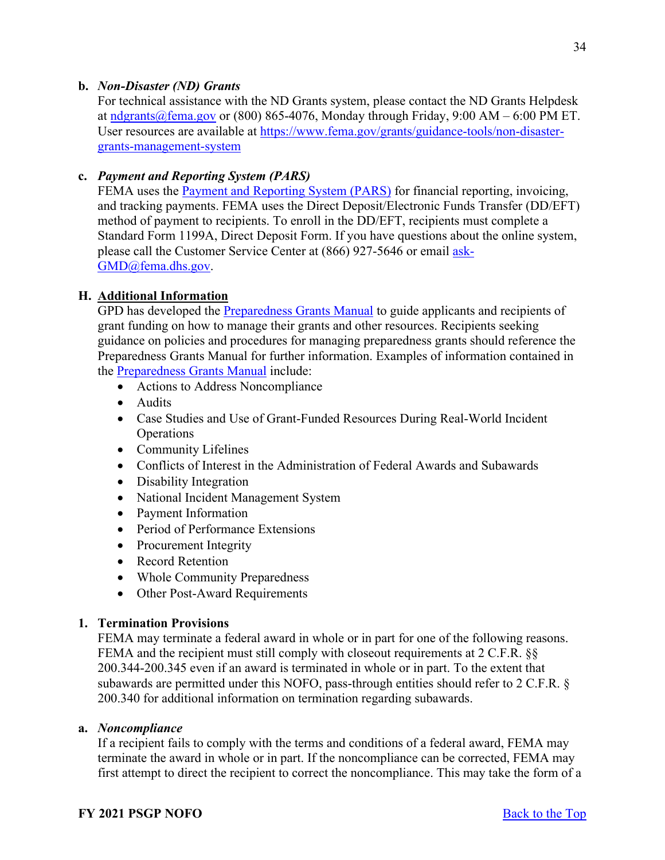# **b.** *Non-Disaster (ND) Grants*

For technical assistance with the ND Grants system, please contact the ND Grants Helpdesk at [ndgrants@fema.gov](mailto:ndgrants@fema.gov) or (800) 865-4076, Monday through Friday, 9:00 AM – 6:00 PM ET. User resources are available at [https://www.fema.gov/grants/guidance-tools/non-disaster](https://www.fema.gov/grants/guidance-tools/non-disaster-grants-management-system)[grants-management-system](https://www.fema.gov/grants/guidance-tools/non-disaster-grants-management-system)

# **c.** *Payment and Reporting System (PARS)*

FEMA uses the [Payment and Reporting System \(PARS\)](https://isource.fema.gov/sf269/execute/LogIn?sawContentMessage=true) for financial reporting, invoicing, and tracking payments. FEMA uses the Direct Deposit/Electronic Funds Transfer (DD/EFT) method of payment to recipients. To enroll in the DD/EFT, recipients must complete a Standard Form 1199A, Direct Deposit Form. If you have questions about the online system, please call the Customer Service Center at (866) 927-5646 or email [ask-](mailto:ask-GMD@fema.dhs.gov)[GMD@fema.dhs.gov.](mailto:ask-GMD@fema.dhs.gov)

# <span id="page-33-0"></span>**H. Additional Information**

GPD has developed the [Preparedness Grants Manual](https://www.fema.gov/media-library/assets/documents/178291) to guide applicants and recipients of grant funding on how to manage their grants and other resources. Recipients seeking guidance on policies and procedures for managing preparedness grants should reference the Preparedness Grants Manual for further information. Examples of information contained in the [Preparedness Grants Manual](https://www.fema.gov/media-library/assets/documents/178291) include:

- Actions to Address Noncompliance
- Audits
- Case Studies and Use of Grant-Funded Resources During Real-World Incident Operations
- Community Lifelines
- Conflicts of Interest in the Administration of Federal Awards and Subawards
- Disability Integration
- National Incident Management System
- Payment Information
- Period of Performance Extensions
- Procurement Integrity
- Record Retention
- Whole Community Preparedness
- Other Post-Award Requirements

### <span id="page-33-1"></span>**1. Termination Provisions**

FEMA may terminate a federal award in whole or in part for one of the following reasons. FEMA and the recipient must still comply with closeout requirements at 2 C.F.R. §§ 200.344-200.345 even if an award is terminated in whole or in part. To the extent that subawards are permitted under this NOFO, pass-through entities should refer to 2 C.F.R. § 200.340 for additional information on termination regarding subawards.

### **a.** *Noncompliance*

If a recipient fails to comply with the terms and conditions of a federal award, FEMA may terminate the award in whole or in part. If the noncompliance can be corrected, FEMA may first attempt to direct the recipient to correct the noncompliance. This may take the form of a